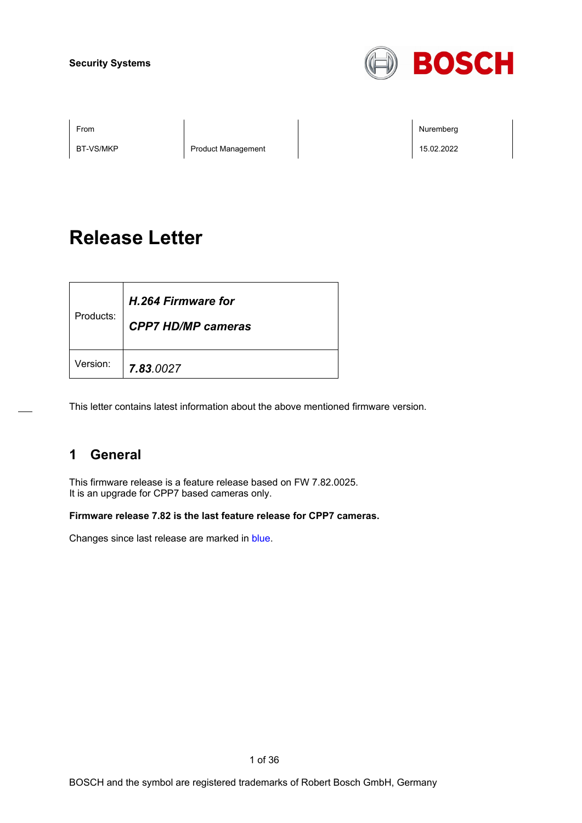

BT-VS/MKP Product Management 2008 Product Management 2008

From the second contract of the second contract of the second contract of the second contract of the second contract of the second contract of the second contract of the second contract of the second contract of the second

# **Release Letter**

| Products: | H.264 Firmware for<br><b>CPP7 HD/MP cameras</b> |
|-----------|-------------------------------------------------|
| Version:  | 7.83.0027                                       |

This letter contains latest information about the above mentioned firmware version.

## **1 General**

This firmware release is a feature release based on FW 7.82.0025. It is an upgrade for CPP7 based cameras only.

**Firmware release 7.82 is the last feature release for CPP7 cameras.**

Changes since last release are marked in blue.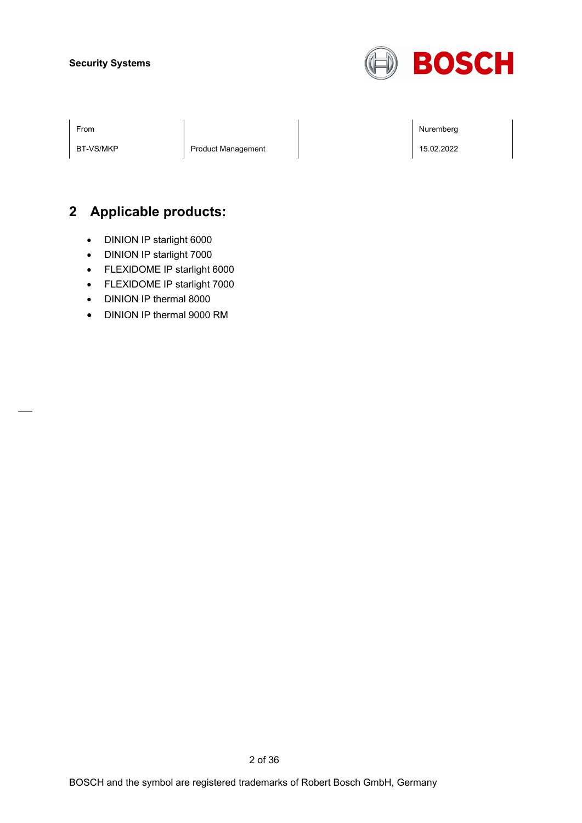

BT-VS/MKP | Product Management | 15.02.2022

From the second contract of the second contract of the second contract of the second contract of the second contract of the second contract of the second contract of the second contract of the second contract of the second

## **2 Applicable products:**

- DINION IP starlight 6000
- DINION IP starlight 7000
- FLEXIDOME IP starlight 6000
- FLEXIDOME IP starlight 7000
- DINION IP thermal 8000
- DINION IP thermal 9000 RM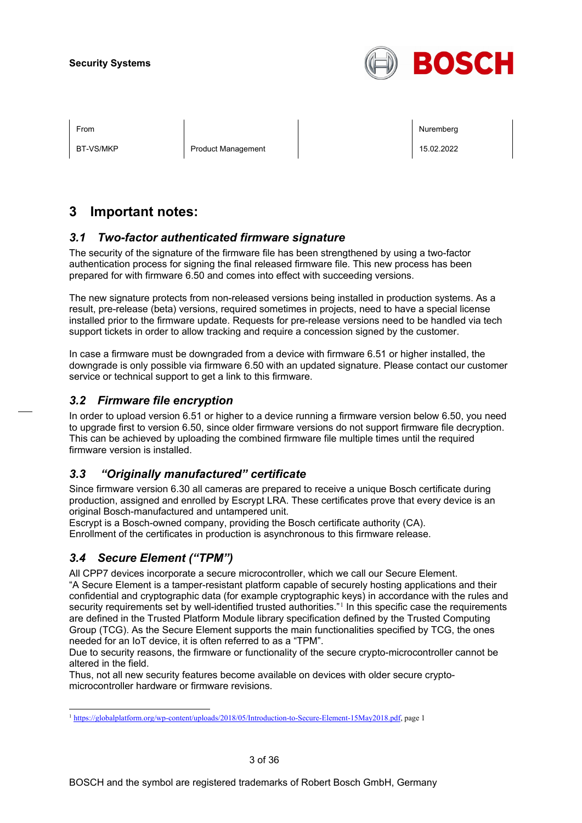

BT-VS/MKP Product Management 15.02.2022

From the second contract of the second contract of the second contract of the second contract of the second contract of the second contract of the second contract of the second contract of the second contract of the second

## **3 Important notes:**

## *3.1 Two-factor authenticated firmware signature*

The security of the signature of the firmware file has been strengthened by using a two-factor authentication process for signing the final released firmware file. This new process has been prepared for with firmware 6.50 and comes into effect with succeeding versions.

The new signature protects from non-released versions being installed in production systems. As a result, pre-release (beta) versions, required sometimes in projects, need to have a special license installed prior to the firmware update. Requests for pre-release versions need to be handled via tech support tickets in order to allow tracking and require a concession signed by the customer.

In case a firmware must be downgraded from a device with firmware 6.51 or higher installed, the downgrade is only possible via firmware 6.50 with an updated signature. Please contact our customer service or technical support to get a link to this firmware.

## *3.2 Firmware file encryption*

In order to upload version 6.51 or higher to a device running a firmware version below 6.50, you need to upgrade first to version 6.50, since older firmware versions do not support firmware file decryption. This can be achieved by uploading the combined firmware file multiple times until the required firmware version is installed.

## *3.3 "Originally manufactured" certificate*

Since firmware version 6.30 all cameras are prepared to receive a unique Bosch certificate during production, assigned and enrolled by Escrypt LRA. These certificates prove that every device is an original Bosch-manufactured and untampered unit.

Escrypt is a Bosch-owned company, providing the Bosch certificate authority (CA). Enrollment of the certificates in production is asynchronous to this firmware release.

## *3.4 Secure Element ("TPM")*

All CPP7 devices incorporate a secure microcontroller, which we call our Secure Element. "A Secure Element is a tamper-resistant platform capable of securely hosting applications and their confidential and cryptographic data (for example cryptographic keys) in accordance with the rules and security requirements set by well-identified trusted authorities."<sup>[1](#page-2-0)</sup> In this specific case the requirements are defined in the Trusted Platform Module library specification defined by the Trusted Computing Group (TCG). As the Secure Element supports the main functionalities specified by TCG, the ones needed for an IoT device, it is often referred to as a "TPM".

Due to security reasons, the firmware or functionality of the secure crypto-microcontroller cannot be altered in the field.

Thus, not all new security features become available on devices with older secure cryptomicrocontroller hardware or firmware revisions.

<span id="page-2-0"></span><sup>1</sup> [https://globalplatform.org/wp-content/uploads/2018/05/Introduction-to-Secure-Element-15May2018.pdf,](https://globalplatform.org/wp-content/uploads/2018/05/Introduction-to-Secure-Element-15May2018.pdf) page 1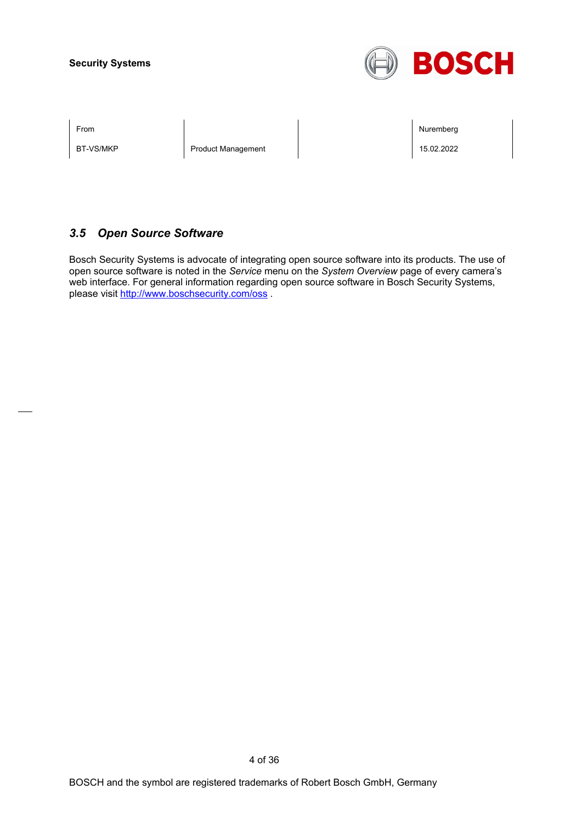

BT-VS/MKP Product Management 2008 Product Management 2008

From the second contract of the second contract of the second contract of the second contract of the second contract of the second contract of the second contract of the second contract of the second contract of the second

## *3.5 Open Source Software*

Bosch Security Systems is advocate of integrating open source software into its products. The use of open source software is noted in the *Service* menu on the *System Overview* page of every camera's web interface. For general information regarding open source software in Bosch Security Systems, please visit<http://www.boschsecurity.com/oss> .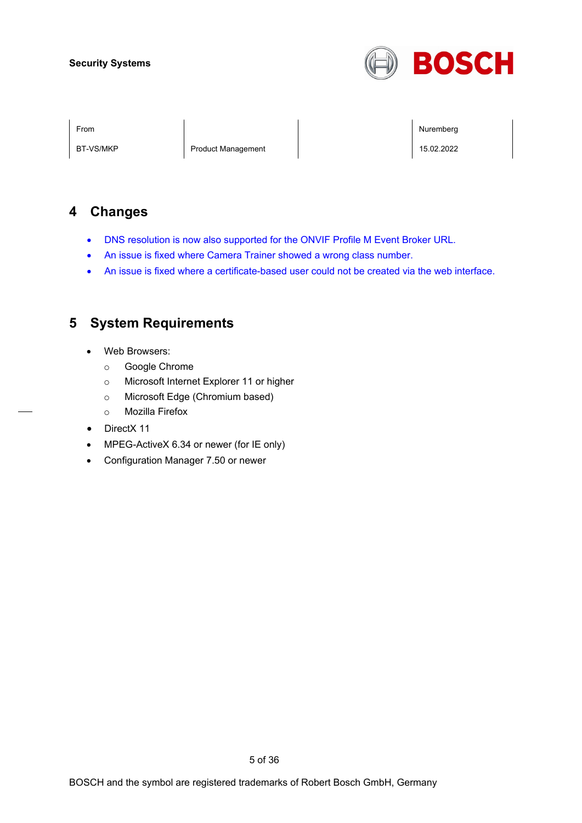

BT-VS/MKP Product Management 2008 Product Management 2008

From the second contract of the second contract of the second contract of the second contract of the second contract of the second contract of the second contract of the second contract of the second contract of the second

## **4 Changes**

- DNS resolution is now also supported for the ONVIF Profile M Event Broker URL.
- An issue is fixed where Camera Trainer showed a wrong class number.
- An issue is fixed where a certificate-based user could not be created via the web interface.

## **5 System Requirements**

- Web Browsers:
	- o Google Chrome
	- o Microsoft Internet Explorer 11 or higher
	- o Microsoft Edge (Chromium based)
	- o Mozilla Firefox
- DirectX 11
- MPEG-ActiveX 6.34 or newer (for IE only)
- Configuration Manager 7.50 or newer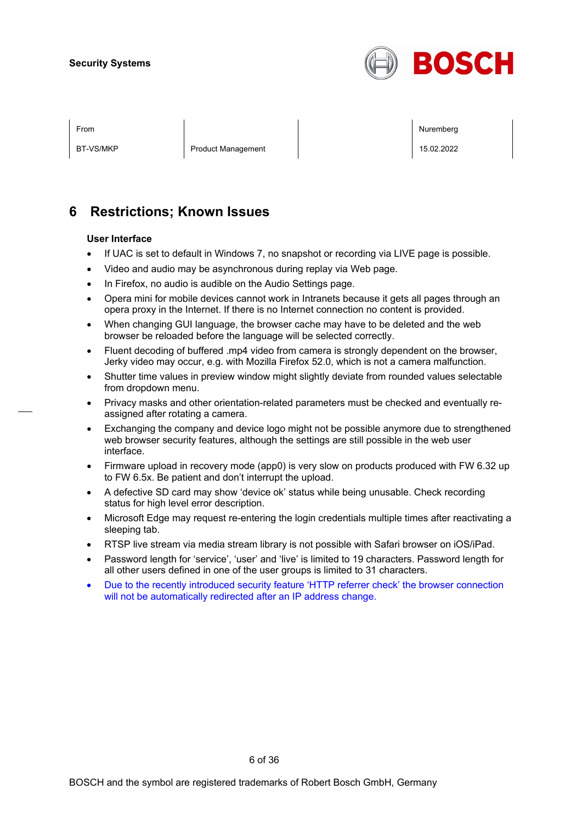

BT-VS/MKP Product Management 2008 Product Management 15.02.2022

From the second contract of the second contract of the second contract of the second contract of the second contract of the second contract of the second contract of the second contract of the second contract of the second

## **6 Restrictions; Known Issues**

#### **User Interface**

- If UAC is set to default in Windows 7, no snapshot or recording via LIVE page is possible.
- Video and audio may be asynchronous during replay via Web page.
- In Firefox, no audio is audible on the Audio Settings page.
- Opera mini for mobile devices cannot work in Intranets because it gets all pages through an opera proxy in the Internet. If there is no Internet connection no content is provided.
- When changing GUI language, the browser cache may have to be deleted and the web browser be reloaded before the language will be selected correctly.
- Fluent decoding of buffered .mp4 video from camera is strongly dependent on the browser, Jerky video may occur, e.g. with Mozilla Firefox 52.0, which is not a camera malfunction.
- Shutter time values in preview window might slightly deviate from rounded values selectable from dropdown menu.
- Privacy masks and other orientation-related parameters must be checked and eventually reassigned after rotating a camera.
- Exchanging the company and device logo might not be possible anymore due to strengthened web browser security features, although the settings are still possible in the web user interface.
- Firmware upload in recovery mode (app0) is very slow on products produced with FW 6.32 up to FW 6.5x. Be patient and don't interrupt the upload.
- A defective SD card may show 'device ok' status while being unusable. Check recording status for high level error description.
- Microsoft Edge may request re-entering the login credentials multiple times after reactivating a sleeping tab.
- RTSP live stream via media stream library is not possible with Safari browser on iOS/iPad.
- Password length for 'service', 'user' and 'live' is limited to 19 characters. Password length for all other users defined in one of the user groups is limited to 31 characters.
- Due to the recently introduced security feature 'HTTP referrer check' the browser connection will not be automatically redirected after an IP address change.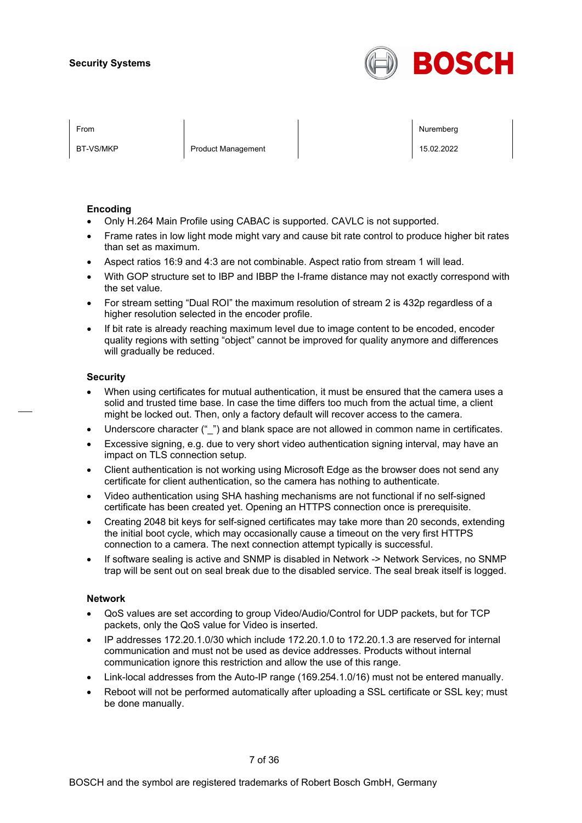

BT-VS/MKP Product Management 15.02.2022

From the second contract of the second contract of the second contract of the second contract of the second contract of the second contract of the second contract of the second contract of the second contract of the second

#### **Encoding**

- Only H.264 Main Profile using CABAC is supported. CAVLC is not supported.
- Frame rates in low light mode might vary and cause bit rate control to produce higher bit rates than set as maximum.
- Aspect ratios 16:9 and 4:3 are not combinable. Aspect ratio from stream 1 will lead.
- With GOP structure set to IBP and IBBP the I-frame distance may not exactly correspond with the set value.
- For stream setting "Dual ROI" the maximum resolution of stream 2 is 432p regardless of a higher resolution selected in the encoder profile.
- If bit rate is already reaching maximum level due to image content to be encoded, encoder quality regions with setting "object" cannot be improved for quality anymore and differences will gradually be reduced.

#### **Security**

- When using certificates for mutual authentication, it must be ensured that the camera uses a solid and trusted time base. In case the time differs too much from the actual time, a client might be locked out. Then, only a factory default will recover access to the camera.
- Underscore character (" ") and blank space are not allowed in common name in certificates.
- Excessive signing, e.g. due to very short video authentication signing interval, may have an impact on TLS connection setup.
- Client authentication is not working using Microsoft Edge as the browser does not send any certificate for client authentication, so the camera has nothing to authenticate.
- Video authentication using SHA hashing mechanisms are not functional if no self-signed certificate has been created yet. Opening an HTTPS connection once is prerequisite.
- Creating 2048 bit keys for self-signed certificates may take more than 20 seconds, extending the initial boot cycle, which may occasionally cause a timeout on the very first HTTPS connection to a camera. The next connection attempt typically is successful.
- If software sealing is active and SNMP is disabled in Network -> Network Services, no SNMP trap will be sent out on seal break due to the disabled service. The seal break itself is logged.

#### **Network**

- QoS values are set according to group Video/Audio/Control for UDP packets, but for TCP packets, only the QoS value for Video is inserted.
- IP addresses 172.20.1.0/30 which include 172.20.1.0 to 172.20.1.3 are reserved for internal communication and must not be used as device addresses. Products without internal communication ignore this restriction and allow the use of this range.
- Link-local addresses from the Auto-IP range (169.254.1.0/16) must not be entered manually.
- Reboot will not be performed automatically after uploading a SSL certificate or SSL key; must be done manually.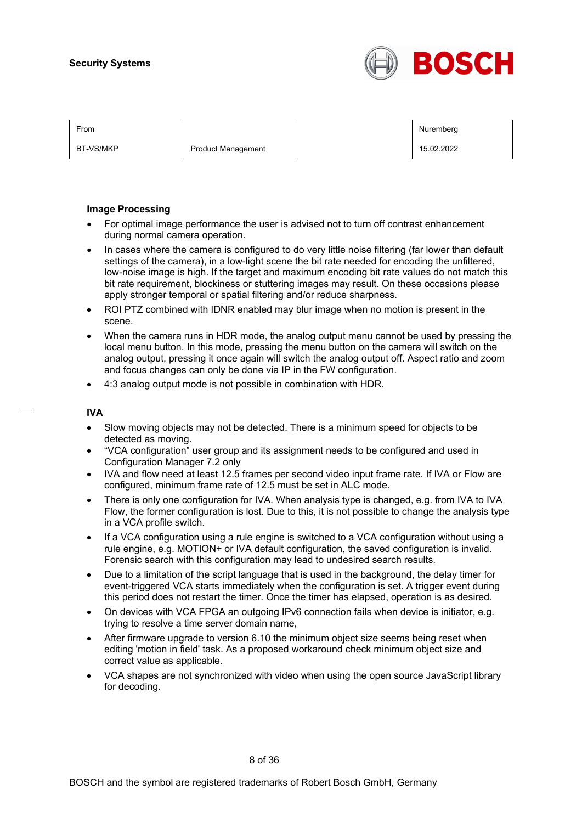

BT-VS/MKP Product Management 2008 Product Management 15.02.2022

From the second contract of the second contract of the second contract of the second contract of the second contract of the second contract of the second contract of the second contract of the second contract of the second

#### **Image Processing**

- For optimal image performance the user is advised not to turn off contrast enhancement during normal camera operation.
- In cases where the camera is configured to do very little noise filtering (far lower than default settings of the camera), in a low-light scene the bit rate needed for encoding the unfiltered, low-noise image is high. If the target and maximum encoding bit rate values do not match this bit rate requirement, blockiness or stuttering images may result. On these occasions please apply stronger temporal or spatial filtering and/or reduce sharpness.
- ROI PTZ combined with IDNR enabled may blur image when no motion is present in the scene.
- When the camera runs in HDR mode, the analog output menu cannot be used by pressing the local menu button. In this mode, pressing the menu button on the camera will switch on the analog output, pressing it once again will switch the analog output off. Aspect ratio and zoom and focus changes can only be done via IP in the FW configuration.
- 4:3 analog output mode is not possible in combination with HDR.

#### **IVA**

- Slow moving objects may not be detected. There is a minimum speed for objects to be detected as moving.
- "VCA configuration" user group and its assignment needs to be configured and used in Configuration Manager 7.2 only
- IVA and flow need at least 12.5 frames per second video input frame rate. If IVA or Flow are configured, minimum frame rate of 12.5 must be set in ALC mode.
- There is only one configuration for IVA. When analysis type is changed, e.g. from IVA to IVA Flow, the former configuration is lost. Due to this, it is not possible to change the analysis type in a VCA profile switch.
- If a VCA configuration using a rule engine is switched to a VCA configuration without using a rule engine, e.g. MOTION+ or IVA default configuration, the saved configuration is invalid. Forensic search with this configuration may lead to undesired search results.
- Due to a limitation of the script language that is used in the background, the delay timer for event-triggered VCA starts immediately when the configuration is set. A trigger event during this period does not restart the timer. Once the timer has elapsed, operation is as desired.
- On devices with VCA FPGA an outgoing IPv6 connection fails when device is initiator, e.g. trying to resolve a time server domain name,
- After firmware upgrade to version 6.10 the minimum object size seems being reset when editing 'motion in field' task. As a proposed workaround check minimum object size and correct value as applicable.
- VCA shapes are not synchronized with video when using the open source JavaScript library for decoding.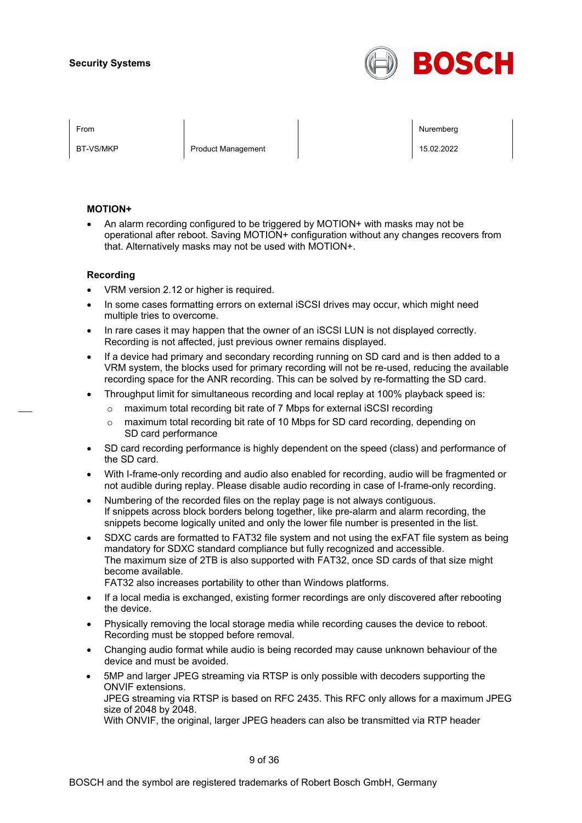

BT-VS/MKP Product Management 15.02.2022

From the second contract of the second contract of the second contract of the second contract of the second contract of the second contract of the second contract of the second contract of the second contract of the second

#### **MOTION+**

• An alarm recording configured to be triggered by MOTION+ with masks may not be operational after reboot. Saving MOTION+ configuration without any changes recovers from that. Alternatively masks may not be used with MOTION+.

#### **Recording**

- VRM version 2.12 or higher is required.
- In some cases formatting errors on external iSCSI drives may occur, which might need multiple tries to overcome.
- In rare cases it may happen that the owner of an iSCSI LUN is not displayed correctly. Recording is not affected, just previous owner remains displayed.
- If a device had primary and secondary recording running on SD card and is then added to a VRM system, the blocks used for primary recording will not be re-used, reducing the available recording space for the ANR recording. This can be solved by re-formatting the SD card.
- Throughput limit for simultaneous recording and local replay at 100% playback speed is:
	- o maximum total recording bit rate of 7 Mbps for external iSCSI recording
	- o maximum total recording bit rate of 10 Mbps for SD card recording, depending on SD card performance
- SD card recording performance is highly dependent on the speed (class) and performance of the SD card.
- With I-frame-only recording and audio also enabled for recording, audio will be fragmented or not audible during replay. Please disable audio recording in case of I-frame-only recording.
- Numbering of the recorded files on the replay page is not always contiguous. If snippets across block borders belong together, like pre-alarm and alarm recording, the snippets become logically united and only the lower file number is presented in the list.
- SDXC cards are formatted to FAT32 file system and not using the exFAT file system as being mandatory for SDXC standard compliance but fully recognized and accessible. The maximum size of 2TB is also supported with FAT32, once SD cards of that size might become available.

FAT32 also increases portability to other than Windows platforms.

- If a local media is exchanged, existing former recordings are only discovered after rebooting the device.
- Physically removing the local storage media while recording causes the device to reboot. Recording must be stopped before removal.
- Changing audio format while audio is being recorded may cause unknown behaviour of the device and must be avoided.
- 5MP and larger JPEG streaming via RTSP is only possible with decoders supporting the ONVIF extensions. JPEG streaming via RTSP is based on RFC 2435. This RFC only allows for a maximum JPEG size of 2048 by 2048.

With ONVIF, the original, larger JPEG headers can also be transmitted via RTP header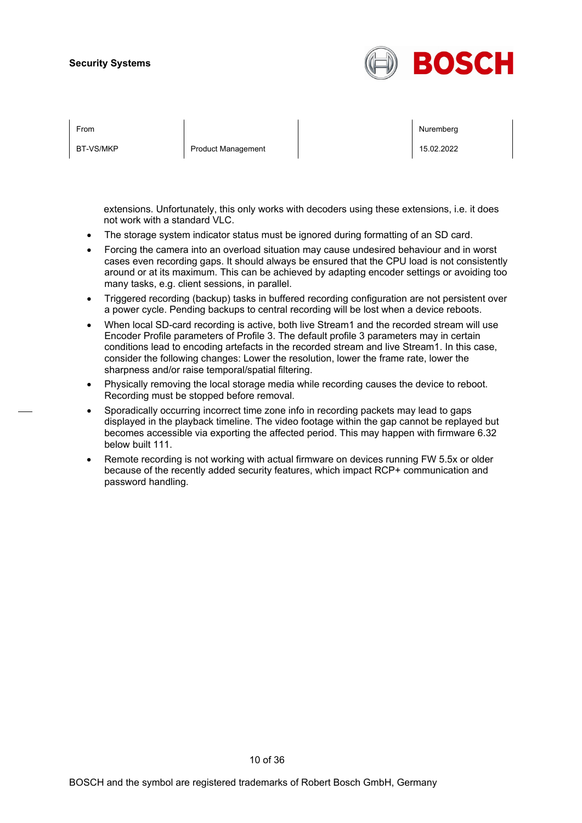

| From      |                           | Nuremberg  |
|-----------|---------------------------|------------|
| BT-VS/MKP | <b>Product Management</b> | 15.02.2022 |

extensions. Unfortunately, this only works with decoders using these extensions, i.e. it does not work with a standard VLC.

- The storage system indicator status must be ignored during formatting of an SD card.
- Forcing the camera into an overload situation may cause undesired behaviour and in worst cases even recording gaps. It should always be ensured that the CPU load is not consistently around or at its maximum. This can be achieved by adapting encoder settings or avoiding too many tasks, e.g. client sessions, in parallel.
- Triggered recording (backup) tasks in buffered recording configuration are not persistent over a power cycle. Pending backups to central recording will be lost when a device reboots.
- When local SD-card recording is active, both live Stream1 and the recorded stream will use Encoder Profile parameters of Profile 3. The default profile 3 parameters may in certain conditions lead to encoding artefacts in the recorded stream and live Stream1. In this case, consider the following changes: Lower the resolution, lower the frame rate, lower the sharpness and/or raise temporal/spatial filtering.
- Physically removing the local storage media while recording causes the device to reboot. Recording must be stopped before removal.
- Sporadically occurring incorrect time zone info in recording packets may lead to gaps displayed in the playback timeline. The video footage within the gap cannot be replayed but becomes accessible via exporting the affected period. This may happen with firmware 6.32 below built 111.
- Remote recording is not working with actual firmware on devices running FW 5.5x or older because of the recently added security features, which impact RCP+ communication and password handling.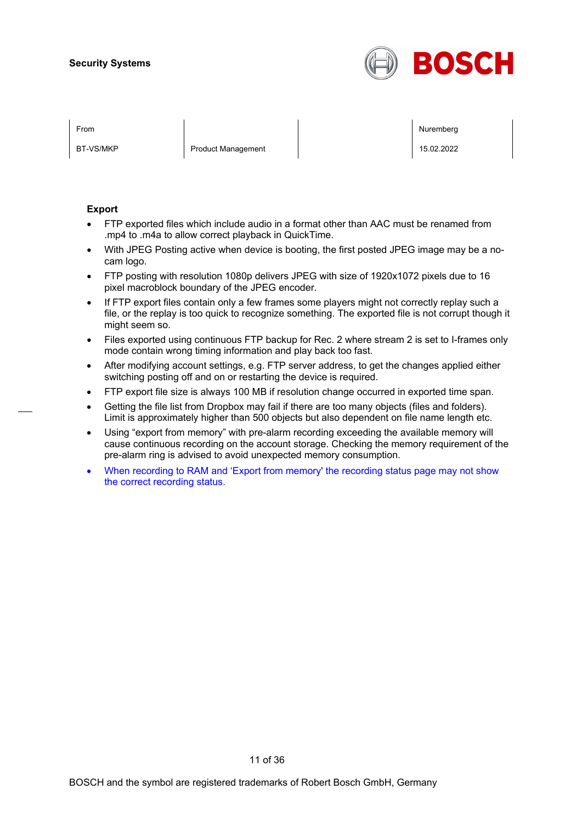

BT-VS/MKP Product Management 2008 Product Management 15.02.2022

From the second contract of the second contract of the second contract of the second contract of the second contract of the second contract of the second contract of the second contract of the second contract of the second

#### **Export**

- FTP exported files which include audio in a format other than AAC must be renamed from .mp4 to .m4a to allow correct playback in QuickTime.
- With JPEG Posting active when device is booting, the first posted JPEG image may be a nocam logo.
- FTP posting with resolution 1080p delivers JPEG with size of 1920x1072 pixels due to 16 pixel macroblock boundary of the JPEG encoder.
- If FTP export files contain only a few frames some players might not correctly replay such a file, or the replay is too quick to recognize something. The exported file is not corrupt though it might seem so.
- Files exported using continuous FTP backup for Rec. 2 where stream 2 is set to I-frames only mode contain wrong timing information and play back too fast.
- After modifying account settings, e.g. FTP server address, to get the changes applied either switching posting off and on or restarting the device is required.
- FTP export file size is always 100 MB if resolution change occurred in exported time span.
- Getting the file list from Dropbox may fail if there are too many objects (files and folders). Limit is approximately higher than 500 objects but also dependent on file name length etc.
- Using "export from memory" with pre-alarm recording exceeding the available memory will cause continuous recording on the account storage. Checking the memory requirement of the pre-alarm ring is advised to avoid unexpected memory consumption.
- When recording to RAM and 'Export from memory' the recording status page may not show the correct recording status.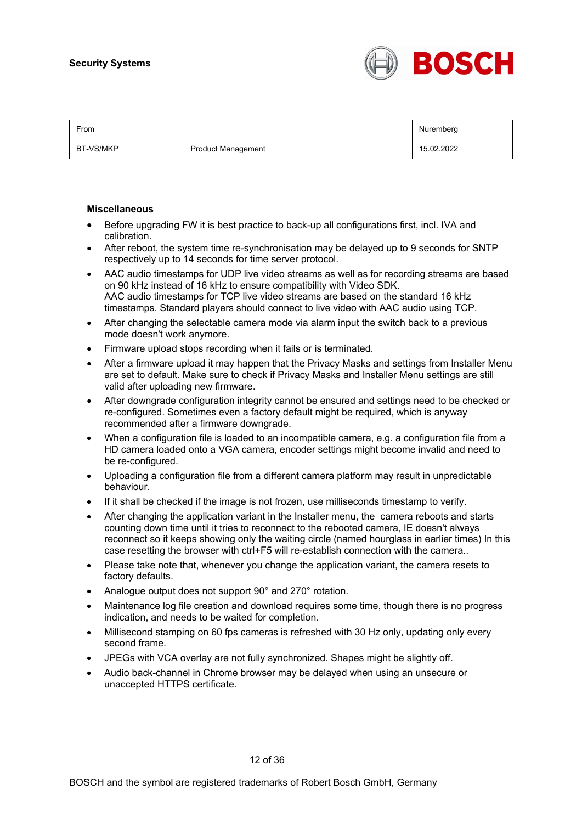

BT-VS/MKP Product Management 15.02.2022

From the second contract of the second contract of the second contract of the second contract of the second contract of the second contract of the second contract of the second contract of the second contract of the second

#### **Miscellaneous**

- Before upgrading FW it is best practice to back-up all configurations first, incl. IVA and calibration.
- After reboot, the system time re-synchronisation may be delayed up to 9 seconds for SNTP respectively up to 14 seconds for time server protocol.
- AAC audio timestamps for UDP live video streams as well as for recording streams are based on 90 kHz instead of 16 kHz to ensure compatibility with Video SDK. AAC audio timestamps for TCP live video streams are based on the standard 16 kHz timestamps. Standard players should connect to live video with AAC audio using TCP.
- After changing the selectable camera mode via alarm input the switch back to a previous mode doesn't work anymore.
- Firmware upload stops recording when it fails or is terminated.
- After a firmware upload it may happen that the Privacy Masks and settings from Installer Menu are set to default. Make sure to check if Privacy Masks and Installer Menu settings are still valid after uploading new firmware.
- After downgrade configuration integrity cannot be ensured and settings need to be checked or re-configured. Sometimes even a factory default might be required, which is anyway recommended after a firmware downgrade.
- When a configuration file is loaded to an incompatible camera, e.g. a configuration file from a HD camera loaded onto a VGA camera, encoder settings might become invalid and need to be re-configured.
- Uploading a configuration file from a different camera platform may result in unpredictable behaviour.
- If it shall be checked if the image is not frozen, use milliseconds timestamp to verify.
- After changing the application variant in the Installer menu, the camera reboots and starts counting down time until it tries to reconnect to the rebooted camera, IE doesn't always reconnect so it keeps showing only the waiting circle (named hourglass in earlier times) In this case resetting the browser with ctrl+F5 will re-establish connection with the camera..
- Please take note that, whenever you change the application variant, the camera resets to factory defaults.
- Analogue output does not support 90° and 270° rotation.
- Maintenance log file creation and download requires some time, though there is no progress indication, and needs to be waited for completion.
- Millisecond stamping on 60 fps cameras is refreshed with 30 Hz only, updating only every second frame.
- JPEGs with VCA overlay are not fully synchronized. Shapes might be slightly off.
- Audio back-channel in Chrome browser may be delayed when using an unsecure or unaccepted HTTPS certificate.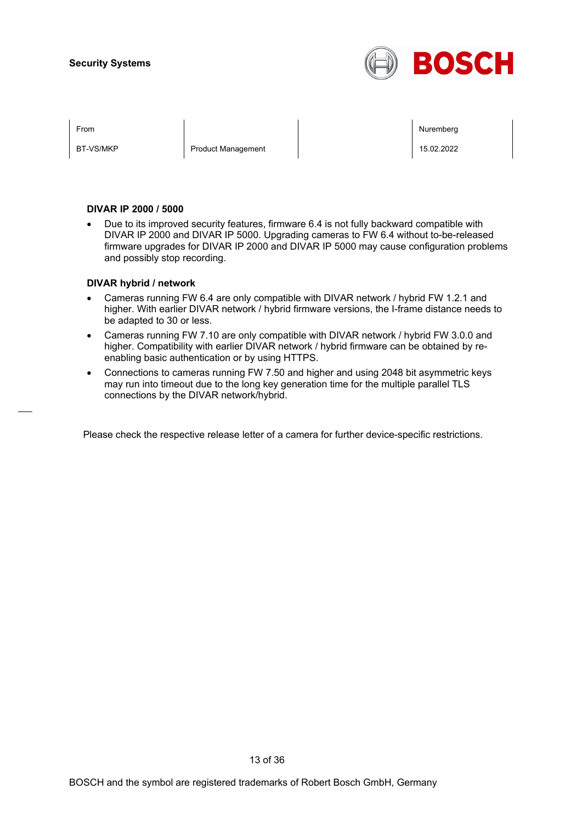

BT-VS/MKP Product Management 2008 Product Management 15.02.2022

From the second contract of the second contract of the second contract of the second contract of the second contract of the second contract of the second contract of the second contract of the second contract of the second

#### **DIVAR IP 2000 / 5000**

• Due to its improved security features, firmware 6.4 is not fully backward compatible with DIVAR IP 2000 and DIVAR IP 5000. Upgrading cameras to FW 6.4 without to-be-released firmware upgrades for DIVAR IP 2000 and DIVAR IP 5000 may cause configuration problems and possibly stop recording.

#### **DIVAR hybrid / network**

- Cameras running FW 6.4 are only compatible with DIVAR network / hybrid FW 1.2.1 and higher. With earlier DIVAR network / hybrid firmware versions, the I-frame distance needs to be adapted to 30 or less.
- Cameras running FW 7.10 are only compatible with DIVAR network / hybrid FW 3.0.0 and higher. Compatibility with earlier DIVAR network / hybrid firmware can be obtained by reenabling basic authentication or by using HTTPS.
- Connections to cameras running FW 7.50 and higher and using 2048 bit asymmetric keys may run into timeout due to the long key generation time for the multiple parallel TLS connections by the DIVAR network/hybrid.

Please check the respective release letter of a camera for further device-specific restrictions.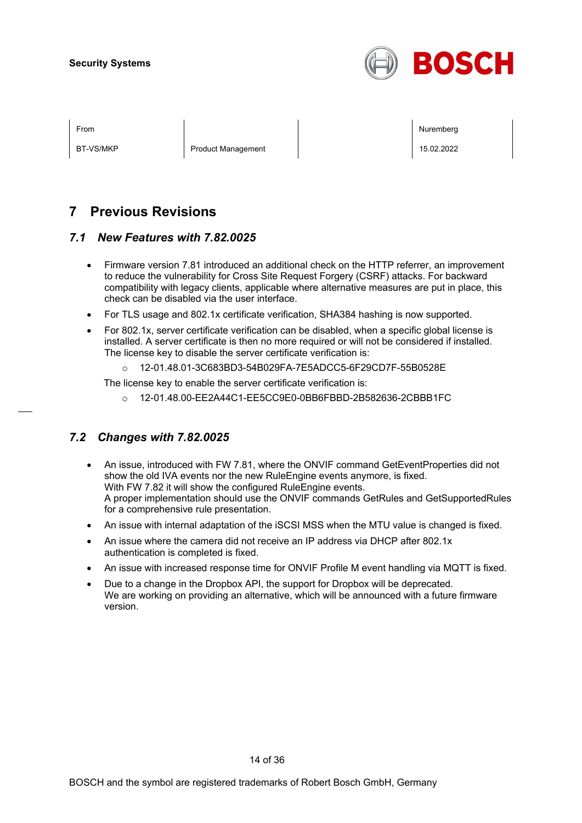

BT-VS/MKP Product Management 15.02.2022

From the second contract of the second contract of the second contract of the second contract of the second contract of the second contract of the second contract of the second contract of the second contract of the second

## **7 Previous Revisions**

## *7.1 New Features with 7.82.0025*

- Firmware version 7.81 introduced an additional check on the HTTP referrer, an improvement to reduce the vulnerability for Cross Site Request Forgery (CSRF) attacks. For backward compatibility with legacy clients, applicable where alternative measures are put in place, this check can be disabled via the user interface.
- For TLS usage and 802.1x certificate verification, SHA384 hashing is now supported.
- For 802.1x, server certificate verification can be disabled, when a specific global license is installed. A server certificate is then no more required or will not be considered if installed. The license key to disable the server certificate verification is:
	- o 12-01.48.01-3C683BD3-54B029FA-7E5ADCC5-6F29CD7F-55B0528E

The license key to enable the server certificate verification is:

o 12-01.48.00-EE2A44C1-EE5CC9E0-0BB6FBBD-2B582636-2CBBB1FC

## *7.2 Changes with 7.82.0025*

- An issue, introduced with FW 7.81, where the ONVIF command GetEventProperties did not show the old IVA events nor the new RuleEngine events anymore, is fixed. With FW 7.82 it will show the configured RuleEngine events. A proper implementation should use the ONVIF commands GetRules and GetSupportedRules for a comprehensive rule presentation.
- An issue with internal adaptation of the iSCSI MSS when the MTU value is changed is fixed.
- An issue where the camera did not receive an IP address via DHCP after 802.1x authentication is completed is fixed.
- An issue with increased response time for ONVIF Profile M event handling via MQTT is fixed.
- Due to a change in the Dropbox API, the support for Dropbox will be deprecated. We are working on providing an alternative, which will be announced with a future firmware version.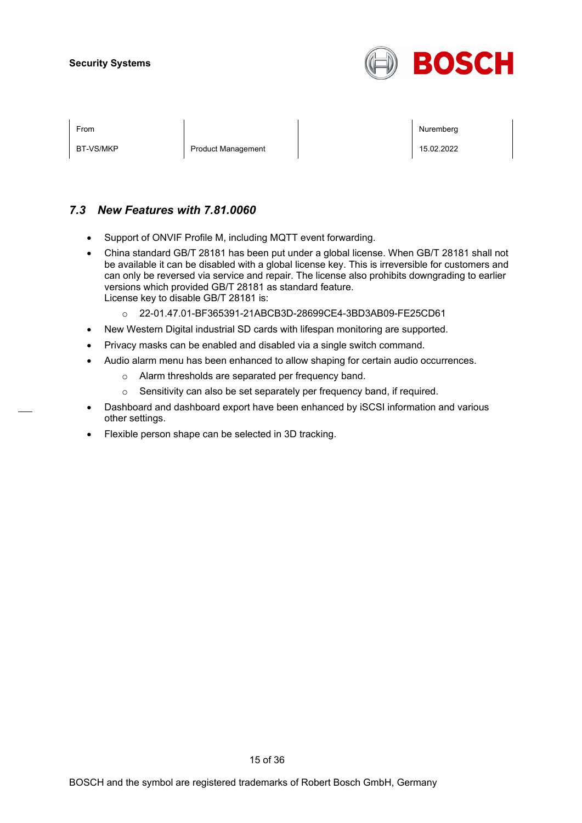

| I<br>× |  |
|--------|--|
|        |  |

BT-VS/MKP Product Management 15.02.2022

From the second contract of the second contract of the second contract of the second contract of the second contract of the second contract of the second contract of the second contract of the second contract of the second

## *7.3 New Features with 7.81.0060*

- Support of ONVIF Profile M, including MQTT event forwarding.
- China standard GB/T 28181 has been put under a global license. When GB/T 28181 shall not be available it can be disabled with a global license key. This is irreversible for customers and can only be reversed via service and repair. The license also prohibits downgrading to earlier versions which provided GB/T 28181 as standard feature. License key to disable GB/T 28181 is:
	- o 22-01.47.01-BF365391-21ABCB3D-28699CE4-3BD3AB09-FE25CD61
- New Western Digital industrial SD cards with lifespan monitoring are supported.
- Privacy masks can be enabled and disabled via a single switch command.
- Audio alarm menu has been enhanced to allow shaping for certain audio occurrences.
	- o Alarm thresholds are separated per frequency band.
	- o Sensitivity can also be set separately per frequency band, if required.
- Dashboard and dashboard export have been enhanced by iSCSI information and various other settings.
- Flexible person shape can be selected in 3D tracking.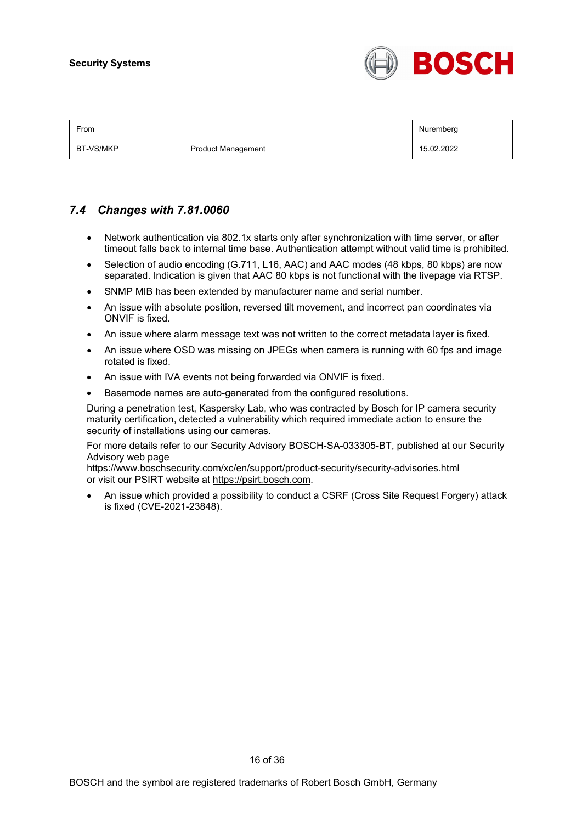

BT-VS/MKP Product Management 15.02.2022 | 15.02.2022

From the second contract of the second contract of the second contract of the second contract of the second contract of the second contract of the second contract of the second contract of the second contract of the second

## *7.4 Changes with 7.81.0060*

- Network authentication via 802.1x starts only after synchronization with time server, or after timeout falls back to internal time base. Authentication attempt without valid time is prohibited.
- Selection of audio encoding (G.711, L16, AAC) and AAC modes (48 kbps, 80 kbps) are now separated. Indication is given that AAC 80 kbps is not functional with the livepage via RTSP.
- SNMP MIB has been extended by manufacturer name and serial number.
- An issue with absolute position, reversed tilt movement, and incorrect pan coordinates via ONVIF is fixed.
- An issue where alarm message text was not written to the correct metadata layer is fixed.
- An issue where OSD was missing on JPEGs when camera is running with 60 fps and image rotated is fixed.
- An issue with IVA events not being forwarded via ONVIF is fixed.
- Basemode names are auto-generated from the configured resolutions.

During a penetration test, Kaspersky Lab, who was contracted by Bosch for IP camera security maturity certification, detected a vulnerability which required immediate action to ensure the security of installations using our cameras.

For more details refer to our Security Advisory BOSCH-SA-033305-BT, published at our Security Advisory web page

<https://www.boschsecurity.com/xc/en/support/product-security/security-advisories.html> or visit our PSIRT website at [https://psirt.bosch.com.](https://psirt.bosch.com/)

• An issue which provided a possibility to conduct a CSRF (Cross Site Request Forgery) attack is fixed (CVE-2021-23848).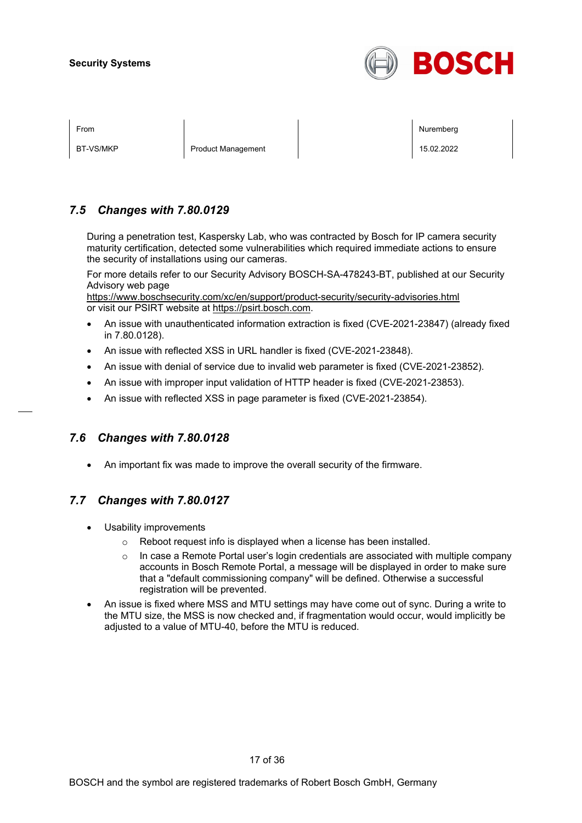

BT-VS/MKP Product Management 2008 Product Management 15.02.2022

From the second contract of the second contract of the second contract of the second contract of the second contract of the second contract of the second contract of the second contract of the second contract of the second

## *7.5 Changes with 7.80.0129*

During a penetration test, Kaspersky Lab, who was contracted by Bosch for IP camera security maturity certification, detected some vulnerabilities which required immediate actions to ensure the security of installations using our cameras.

For more details refer to our Security Advisory BOSCH-SA-478243-BT, published at our Security Advisory web page

<https://www.boschsecurity.com/xc/en/support/product-security/security-advisories.html> or visit our PSIRT website at [https://psirt.bosch.com.](https://psirt.bosch.com/)

- An issue with unauthenticated information extraction is fixed (CVE-2021-23847) (already fixed in 7.80.0128).
- An issue with reflected XSS in URL handler is fixed (CVE-2021-23848).
- An issue with denial of service due to invalid web parameter is fixed (CVE-2021-23852).
- An issue with improper input validation of HTTP header is fixed (CVE-2021-23853).
- An issue with reflected XSS in page parameter is fixed (CVE-2021-23854).

## *7.6 Changes with 7.80.0128*

• An important fix was made to improve the overall security of the firmware.

## *7.7 Changes with 7.80.0127*

- Usability improvements
	- o Reboot request info is displayed when a license has been installed.
	- $\circ$  In case a Remote Portal user's login credentials are associated with multiple company accounts in Bosch Remote Portal, a message will be displayed in order to make sure that a "default commissioning company" will be defined. Otherwise a successful registration will be prevented.
- An issue is fixed where MSS and MTU settings may have come out of sync. During a write to the MTU size, the MSS is now checked and, if fragmentation would occur, would implicitly be adjusted to a value of MTU-40, before the MTU is reduced.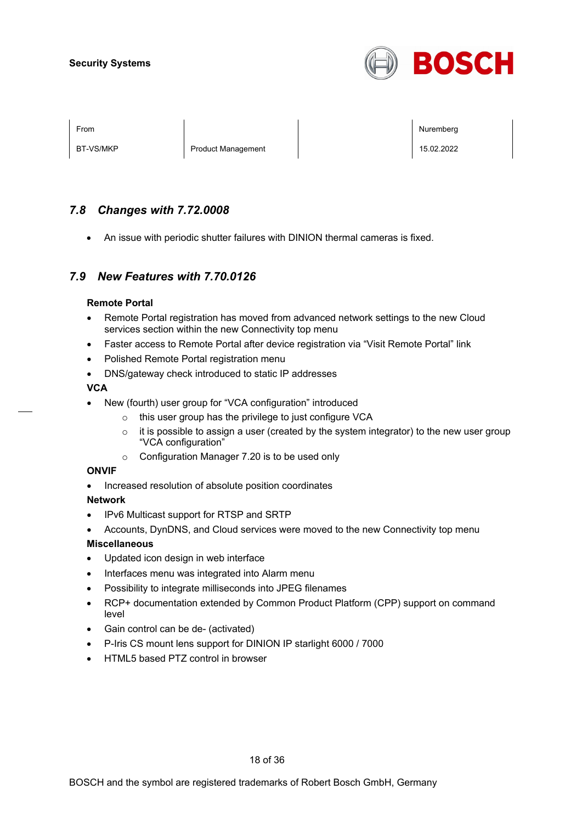

BT-VS/MKP Product Management 2008 Product Management 15.02.2022

From the second contract of the second contract of the second contract of the second contract of the second contract of the second contract of the second contract of the second contract of the second contract of the second

## *7.8 Changes with 7.72.0008*

• An issue with periodic shutter failures with DINION thermal cameras is fixed.

## *7.9 New Features with 7.70.0126*

#### **Remote Portal**

- Remote Portal registration has moved from advanced network settings to the new Cloud services section within the new Connectivity top menu
- Faster access to Remote Portal after device registration via "Visit Remote Portal" link
- Polished Remote Portal registration menu
- DNS/gateway check introduced to static IP addresses

#### **VCA**

- New (fourth) user group for "VCA configuration" introduced
	- o this user group has the privilege to just configure VCA
	- $\circ$  it is possible to assign a user (created by the system integrator) to the new user group "VCA configuration"
	- o Configuration Manager 7.20 is to be used only

#### **ONVIF**

• Increased resolution of absolute position coordinates

#### **Network**

- IPv6 Multicast support for RTSP and SRTP
- Accounts, DynDNS, and Cloud services were moved to the new Connectivity top menu

#### **Miscellaneous**

- Updated icon design in web interface
- Interfaces menu was integrated into Alarm menu
- Possibility to integrate milliseconds into JPEG filenames
- RCP+ documentation extended by Common Product Platform (CPP) support on command level
- Gain control can be de- (activated)
- P-Iris CS mount lens support for DINION IP starlight 6000 / 7000
- HTML5 based PTZ control in browser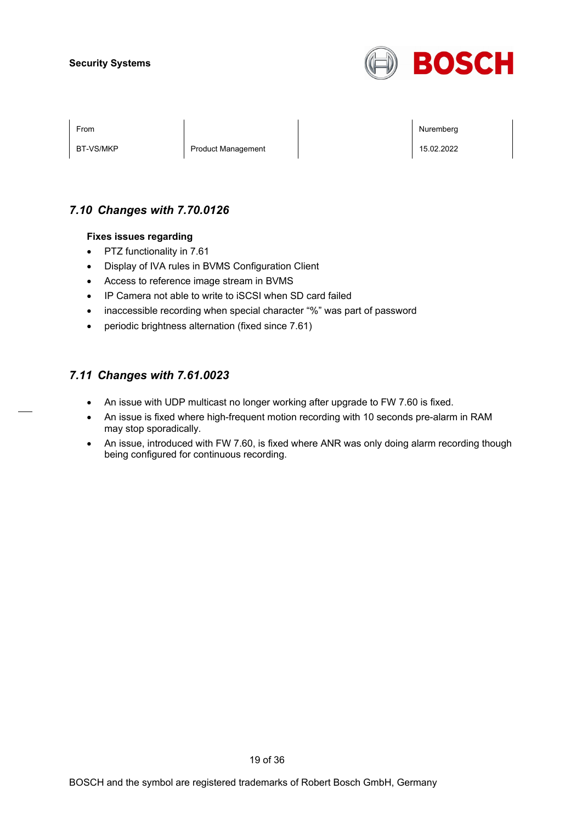

BT-VS/MKP Product Management 15.02.2022

From the second contract of the second contract of the second contract of the second contract of the second contract of the second contract of the second contract of the second contract of the second contract of the second

## *7.10 Changes with 7.70.0126*

#### **Fixes issues regarding**

- PTZ functionality in 7.61
- Display of IVA rules in BVMS Configuration Client
- Access to reference image stream in BVMS
- IP Camera not able to write to iSCSI when SD card failed
- inaccessible recording when special character "%" was part of password
- periodic brightness alternation (fixed since 7.61)

## *7.11 Changes with 7.61.0023*

- An issue with UDP multicast no longer working after upgrade to FW 7.60 is fixed.
- An issue is fixed where high-frequent motion recording with 10 seconds pre-alarm in RAM may stop sporadically.
- An issue, introduced with FW 7.60, is fixed where ANR was only doing alarm recording though being configured for continuous recording.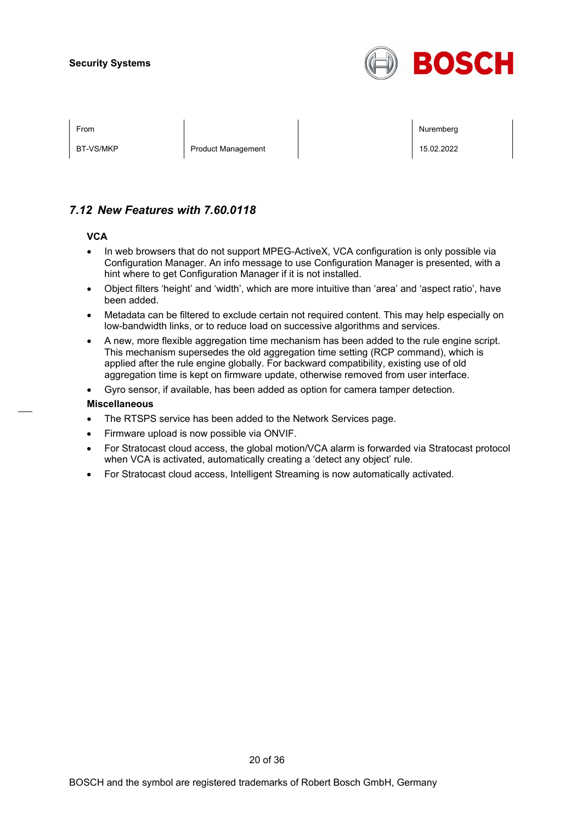

BT-VS/MKP Product Management 2008 Product Management 15.02.2022

From the second contract of the second contract of the second contract of the second contract of the second contract of the second contract of the second contract of the second contract of the second contract of the second

## *7.12 New Features with 7.60.0118*

#### **VCA**

- In web browsers that do not support MPEG-ActiveX, VCA configuration is only possible via Configuration Manager. An info message to use Configuration Manager is presented, with a hint where to get Configuration Manager if it is not installed.
- Object filters 'height' and 'width', which are more intuitive than 'area' and 'aspect ratio', have been added.
- Metadata can be filtered to exclude certain not required content. This may help especially on low-bandwidth links, or to reduce load on successive algorithms and services.
- A new, more flexible aggregation time mechanism has been added to the rule engine script. This mechanism supersedes the old aggregation time setting (RCP command), which is applied after the rule engine globally. For backward compatibility, existing use of old aggregation time is kept on firmware update, otherwise removed from user interface.

• Gyro sensor, if available, has been added as option for camera tamper detection.

#### **Miscellaneous**

- The RTSPS service has been added to the Network Services page.
- Firmware upload is now possible via ONVIF.
- For Stratocast cloud access, the global motion/VCA alarm is forwarded via Stratocast protocol when VCA is activated, automatically creating a 'detect any object' rule.
- For Stratocast cloud access, Intelligent Streaming is now automatically activated.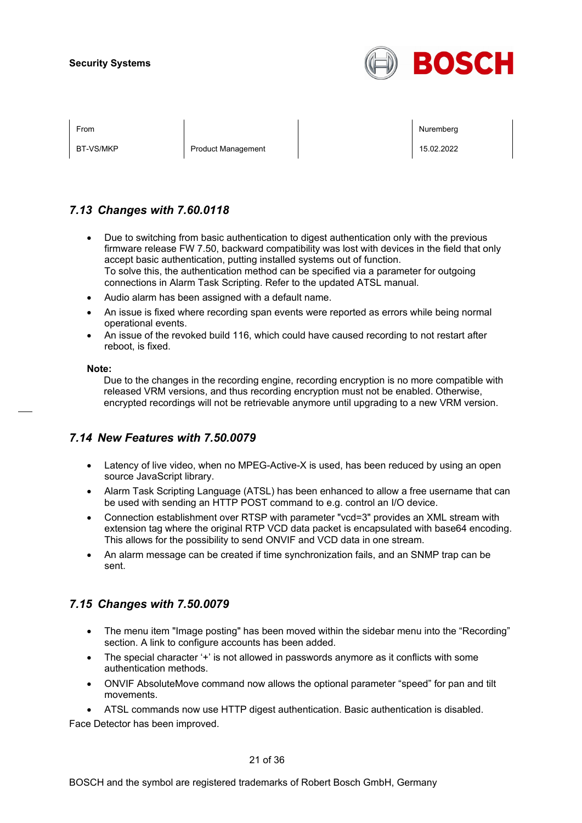

BT-VS/MKP Product Management 2008 Product Management 15.02.2022

From the second contract of the second contract of the second contract of the second contract of the second contract of the second contract of the second contract of the second contract of the second contract of the second

## *7.13 Changes with 7.60.0118*

- Due to switching from basic authentication to digest authentication only with the previous firmware release FW 7.50, backward compatibility was lost with devices in the field that only accept basic authentication, putting installed systems out of function. To solve this, the authentication method can be specified via a parameter for outgoing connections in Alarm Task Scripting. Refer to the updated ATSL manual.
- Audio alarm has been assigned with a default name.
- An issue is fixed where recording span events were reported as errors while being normal operational events.
- An issue of the revoked build 116, which could have caused recording to not restart after reboot, is fixed.

#### **Note:**

Due to the changes in the recording engine, recording encryption is no more compatible with released VRM versions, and thus recording encryption must not be enabled. Otherwise, encrypted recordings will not be retrievable anymore until upgrading to a new VRM version.

## *7.14 New Features with 7.50.0079*

- Latency of live video, when no MPEG-Active-X is used, has been reduced by using an open source JavaScript library.
- Alarm Task Scripting Language (ATSL) has been enhanced to allow a free username that can be used with sending an HTTP POST command to e.g. control an I/O device.
- Connection establishment over RTSP with parameter "vcd=3" provides an XML stream with extension tag where the original RTP VCD data packet is encapsulated with base64 encoding. This allows for the possibility to send ONVIF and VCD data in one stream.
- An alarm message can be created if time synchronization fails, and an SNMP trap can be sent.

## *7.15 Changes with 7.50.0079*

- The menu item "Image posting" has been moved within the sidebar menu into the "Recording" section. A link to configure accounts has been added.
- The special character '+' is not allowed in passwords anymore as it conflicts with some authentication methods.
- ONVIF AbsoluteMove command now allows the optional parameter "speed" for pan and tilt movements.

• ATSL commands now use HTTP digest authentication. Basic authentication is disabled. Face Detector has been improved.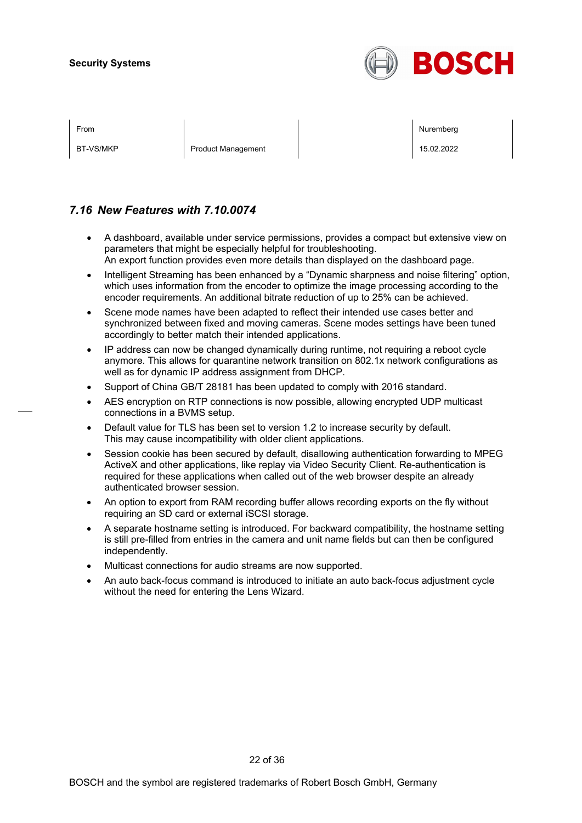

BT-VS/MKP Product Management 2008 Product Management 15.02.2022

From the second contract of the second contract of the second contract of the second contract of the second contract of the second contract of the second contract of the second contract of the second contract of the second

## *7.16 New Features with 7.10.0074*

- A dashboard, available under service permissions, provides a compact but extensive view on parameters that might be especially helpful for troubleshooting. An export function provides even more details than displayed on the dashboard page.
- Intelligent Streaming has been enhanced by a "Dynamic sharpness and noise filtering" option, which uses information from the encoder to optimize the image processing according to the encoder requirements. An additional bitrate reduction of up to 25% can be achieved.
- Scene mode names have been adapted to reflect their intended use cases better and synchronized between fixed and moving cameras. Scene modes settings have been tuned accordingly to better match their intended applications.
- IP address can now be changed dynamically during runtime, not requiring a reboot cycle anymore. This allows for quarantine network transition on 802.1x network configurations as well as for dynamic IP address assignment from DHCP.
- Support of China GB/T 28181 has been updated to comply with 2016 standard.
- AES encryption on RTP connections is now possible, allowing encrypted UDP multicast connections in a BVMS setup.
- Default value for TLS has been set to version 1.2 to increase security by default. This may cause incompatibility with older client applications.
- Session cookie has been secured by default, disallowing authentication forwarding to MPEG ActiveX and other applications, like replay via Video Security Client. Re-authentication is required for these applications when called out of the web browser despite an already authenticated browser session.
- An option to export from RAM recording buffer allows recording exports on the fly without requiring an SD card or external iSCSI storage.
- A separate hostname setting is introduced. For backward compatibility, the hostname setting is still pre-filled from entries in the camera and unit name fields but can then be configured independently.
- Multicast connections for audio streams are now supported.
- An auto back-focus command is introduced to initiate an auto back-focus adjustment cycle without the need for entering the Lens Wizard.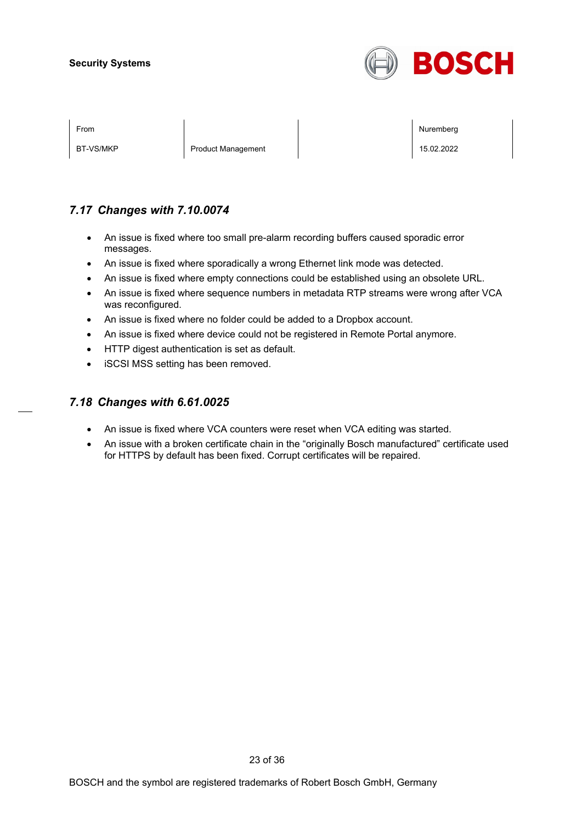

BT-VS/MKP Product Management 15.02.2022

From the second contract of the second contract of the second contract of the second contract of the second contract of the second contract of the second contract of the second contract of the second contract of the second

## *7.17 Changes with 7.10.0074*

- An issue is fixed where too small pre-alarm recording buffers caused sporadic error messages.
- An issue is fixed where sporadically a wrong Ethernet link mode was detected.
- An issue is fixed where empty connections could be established using an obsolete URL.
- An issue is fixed where sequence numbers in metadata RTP streams were wrong after VCA was reconfigured.
- An issue is fixed where no folder could be added to a Dropbox account.
- An issue is fixed where device could not be registered in Remote Portal anymore.
- HTTP digest authentication is set as default.
- iSCSI MSS setting has been removed.

### *7.18 Changes with 6.61.0025*

- An issue is fixed where VCA counters were reset when VCA editing was started.
- An issue with a broken certificate chain in the "originally Bosch manufactured" certificate used for HTTPS by default has been fixed. Corrupt certificates will be repaired.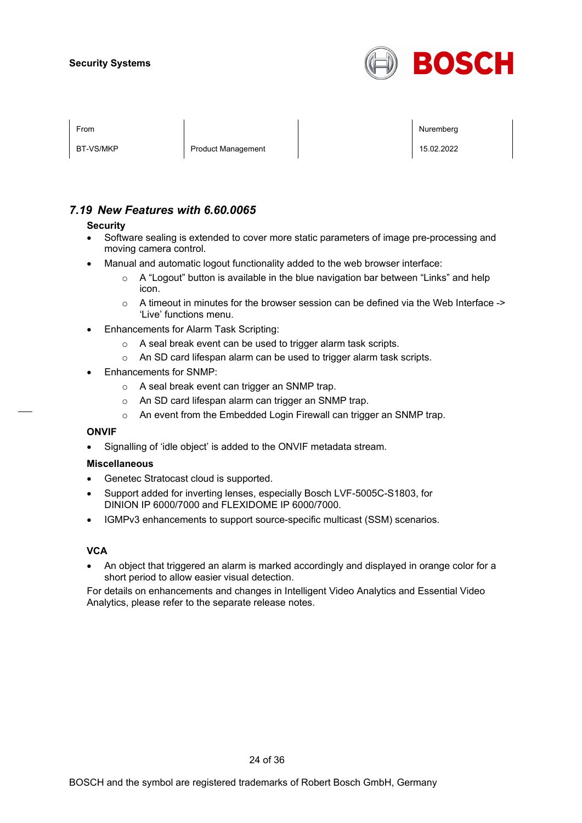

| гійн |  |
|------|--|
|      |  |
| .    |  |

BT-VS/MKP Product Management 2008 Product Management 15.02.2022

From the second contract of the second contract of the second contract of the second contract of the second contract of the second contract of the second contract of the second contract of the second contract of the second

## *7.19 New Features with 6.60.0065*

#### **Security**

- Software sealing is extended to cover more static parameters of image pre-processing and moving camera control.
- Manual and automatic logout functionality added to the web browser interface:
	- o A "Logout" button is available in the blue navigation bar between "Links" and help icon.
	- $\circ$  A timeout in minutes for the browser session can be defined via the Web Interface -> 'Live' functions menu.
- Enhancements for Alarm Task Scripting:
	- o A seal break event can be used to trigger alarm task scripts.
	- o An SD card lifespan alarm can be used to trigger alarm task scripts.
- Enhancements for SNMP:
	- o A seal break event can trigger an SNMP trap.
	- o An SD card lifespan alarm can trigger an SNMP trap.
	- o An event from the Embedded Login Firewall can trigger an SNMP trap.

#### **ONVIF**

• Signalling of 'idle object' is added to the ONVIF metadata stream.

#### **Miscellaneous**

- Genetec Stratocast cloud is supported.
- Support added for inverting lenses, especially Bosch LVF-5005C-S1803, for DINION IP 6000/7000 and FLEXIDOME IP 6000/7000.
- IGMPv3 enhancements to support source-specific multicast (SSM) scenarios.

#### **VCA**

• An object that triggered an alarm is marked accordingly and displayed in orange color for a short period to allow easier visual detection.

For details on enhancements and changes in Intelligent Video Analytics and Essential Video Analytics, please refer to the separate release notes.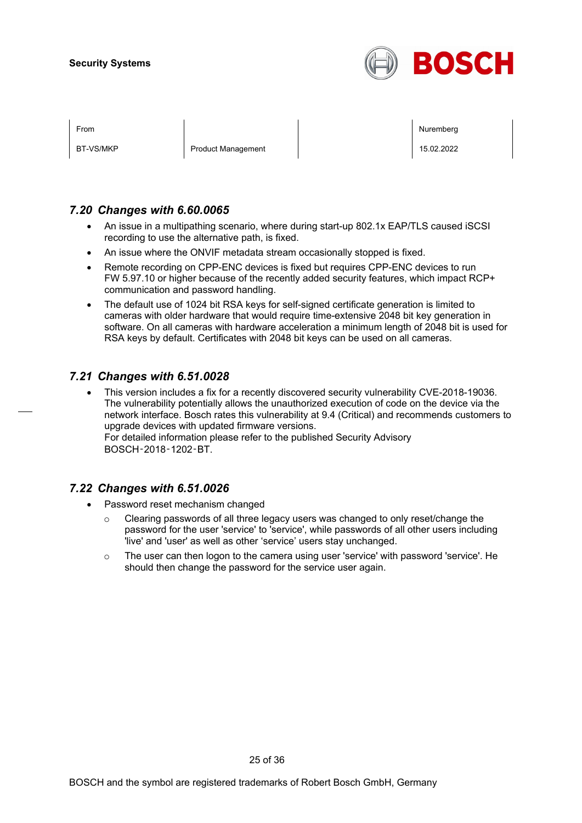

| <b>From</b> |  |
|-------------|--|
|             |  |
|             |  |

BT-VS/MKP Product Management 2008 Product Management 15.02.2022

From the second contract of the second contract of the second contract of the second contract of the second contract of the second contract of the second contract of the second contract of the second contract of the second

## *7.20 Changes with 6.60.0065*

- An issue in a multipathing scenario, where during start-up 802.1x EAP/TLS caused iSCSI recording to use the alternative path, is fixed.
- An issue where the ONVIF metadata stream occasionally stopped is fixed.
- Remote recording on CPP-ENC devices is fixed but requires CPP-ENC devices to run FW 5.97.10 or higher because of the recently added security features, which impact RCP+ communication and password handling.
- The default use of 1024 bit RSA keys for self-signed certificate generation is limited to cameras with older hardware that would require time-extensive 2048 bit key generation in software. On all cameras with hardware acceleration a minimum length of 2048 bit is used for RSA keys by default. Certificates with 2048 bit keys can be used on all cameras.

## *7.21 Changes with 6.51.0028*

• This version includes a fix for a recently discovered security vulnerability CVE-2018-19036. The vulnerability potentially allows the unauthorized execution of code on the device via the network interface. Bosch rates this vulnerability at 9.4 (Critical) and recommends customers to upgrade devices with updated firmware versions. For detailed information please refer to the published Security Advisory BOSCH‑2018‑1202‑BT.

## *7.22 Changes with 6.51.0026*

- Password reset mechanism changed
	- $\circ$  Clearing passwords of all three legacy users was changed to only reset/change the password for the user 'service' to 'service', while passwords of all other users including 'live' and 'user' as well as other 'service' users stay unchanged.
	- o The user can then logon to the camera using user 'service' with password 'service'. He should then change the password for the service user again.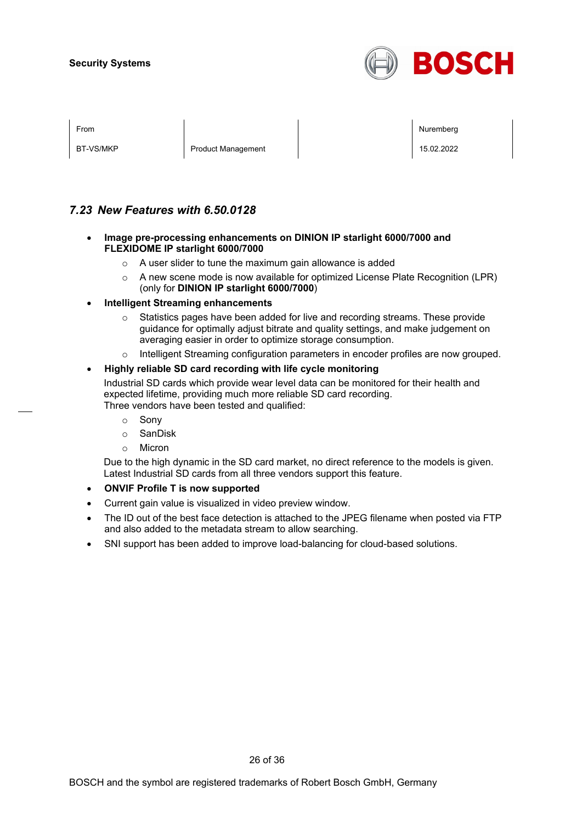

| ⊢rom |  |
|------|--|
|      |  |
|      |  |

BT-VS/MKP Product Management 2008 Product Management 15.02.2022

From the second contract of the second contract of the second contract of the second contract of the second contract of the second contract of the second contract of the second contract of the second contract of the second

## *7.23 New Features with 6.50.0128*

- **Image pre-processing enhancements on DINION IP starlight 6000/7000 and FLEXIDOME IP starlight 6000/7000**
	- o A user slider to tune the maximum gain allowance is added
	- $\circ$  A new scene mode is now available for optimized License Plate Recognition (LPR) (only for **DINION IP starlight 6000/7000**)
- **Intelligent Streaming enhancements**
	- $\circ$  Statistics pages have been added for live and recording streams. These provide guidance for optimally adjust bitrate and quality settings, and make judgement on averaging easier in order to optimize storage consumption.
	- o Intelligent Streaming configuration parameters in encoder profiles are now grouped.

#### • **Highly reliable SD card recording with life cycle monitoring**

Industrial SD cards which provide wear level data can be monitored for their health and expected lifetime, providing much more reliable SD card recording. Three vendors have been tested and qualified:

- o Sony
- o SanDisk
- o Micron

Due to the high dynamic in the SD card market, no direct reference to the models is given. Latest Industrial SD cards from all three vendors support this feature.

- **ONVIF Profile T is now supported**
- Current gain value is visualized in video preview window.
- The ID out of the best face detection is attached to the JPEG filename when posted via FTP and also added to the metadata stream to allow searching.
- SNI support has been added to improve load-balancing for cloud-based solutions.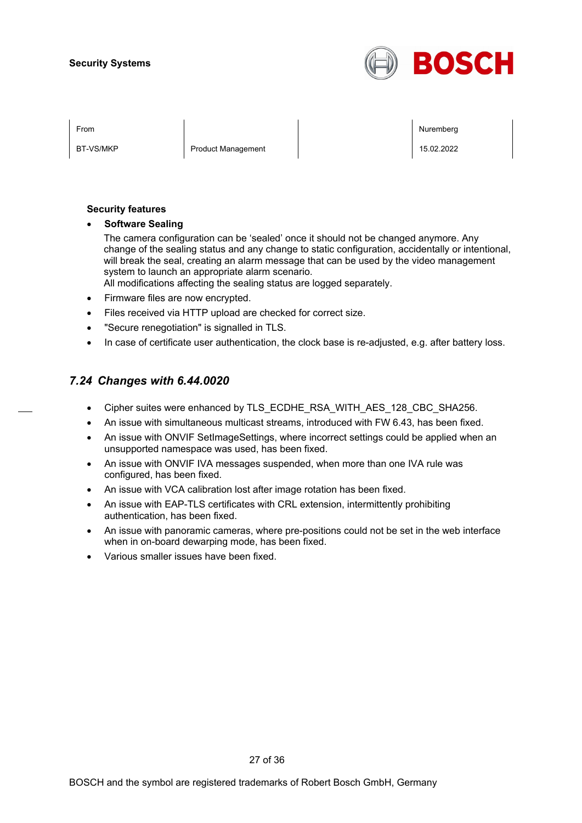

BT-VS/MKP Product Management 2008 Product Management 15.02.2022

From the second contract of the second contract of the second contract of the second contract of the second contract of the second contract of the second contract of the second contract of the second contract of the second

#### **Security features**

• **Software Sealing**

The camera configuration can be 'sealed' once it should not be changed anymore. Any change of the sealing status and any change to static configuration, accidentally or intentional, will break the seal, creating an alarm message that can be used by the video management system to launch an appropriate alarm scenario.

All modifications affecting the sealing status are logged separately.

- Firmware files are now encrypted.
- Files received via HTTP upload are checked for correct size.
- "Secure renegotiation" is signalled in TLS.
- In case of certificate user authentication, the clock base is re-adjusted, e.g. after battery loss.

## *7.24 Changes with 6.44.0020*

- Cipher suites were enhanced by TLS\_ECDHE\_RSA\_WITH\_AES\_128\_CBC\_SHA256.
- An issue with simultaneous multicast streams, introduced with FW 6.43, has been fixed.
- An issue with ONVIF SetImageSettings, where incorrect settings could be applied when an unsupported namespace was used, has been fixed.
- An issue with ONVIF IVA messages suspended, when more than one IVA rule was configured, has been fixed.
- An issue with VCA calibration lost after image rotation has been fixed.
- An issue with EAP-TLS certificates with CRL extension, intermittently prohibiting authentication, has been fixed.
- An issue with panoramic cameras, where pre-positions could not be set in the web interface when in on-board dewarping mode, has been fixed.
- Various smaller issues have been fixed.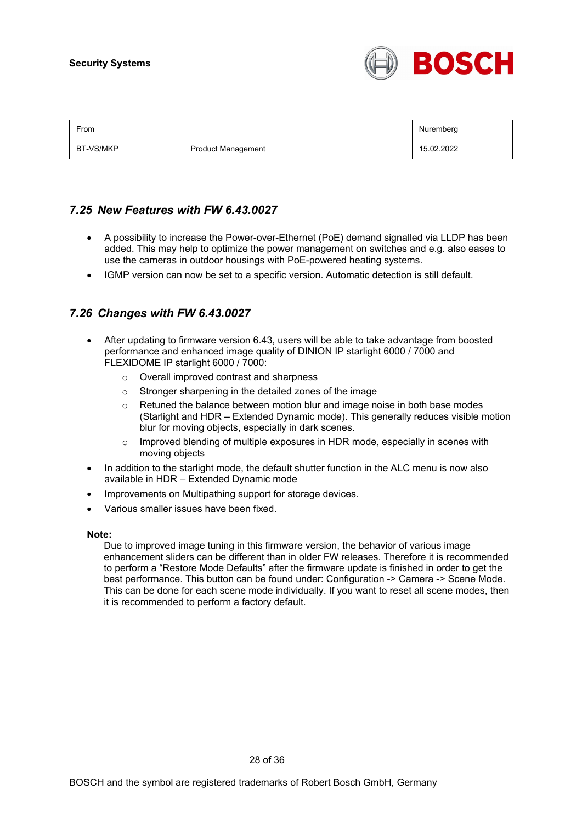

BT-VS/MKP Product Management 15.02.2022

From the second contract of the second contract of the second contract of the second contract of the second contract of the second contract of the second contract of the second contract of the second contract of the second

## *7.25 New Features with FW 6.43.0027*

- A possibility to increase the Power-over-Ethernet (PoE) demand signalled via LLDP has been added. This may help to optimize the power management on switches and e.g. also eases to use the cameras in outdoor housings with PoE-powered heating systems.
- IGMP version can now be set to a specific version. Automatic detection is still default.

## *7.26 Changes with FW 6.43.0027*

- After updating to firmware version 6.43, users will be able to take advantage from boosted performance and enhanced image quality of DINION IP starlight 6000 / 7000 and FLEXIDOME IP starlight 6000 / 7000:
	- o Overall improved contrast and sharpness
	- o Stronger sharpening in the detailed zones of the image
	- $\circ$  Retuned the balance between motion blur and image noise in both base modes (Starlight and HDR – Extended Dynamic mode). This generally reduces visible motion blur for moving objects, especially in dark scenes.
	- $\circ$  Improved blending of multiple exposures in HDR mode, especially in scenes with moving objects
- In addition to the starlight mode, the default shutter function in the ALC menu is now also available in HDR – Extended Dynamic mode
- Improvements on Multipathing support for storage devices.
- Various smaller issues have been fixed.

#### **Note:**

Due to improved image tuning in this firmware version, the behavior of various image enhancement sliders can be different than in older FW releases. Therefore it is recommended to perform a "Restore Mode Defaults" after the firmware update is finished in order to get the best performance. This button can be found under: Configuration -> Camera -> Scene Mode. This can be done for each scene mode individually. If you want to reset all scene modes, then it is recommended to perform a factory default.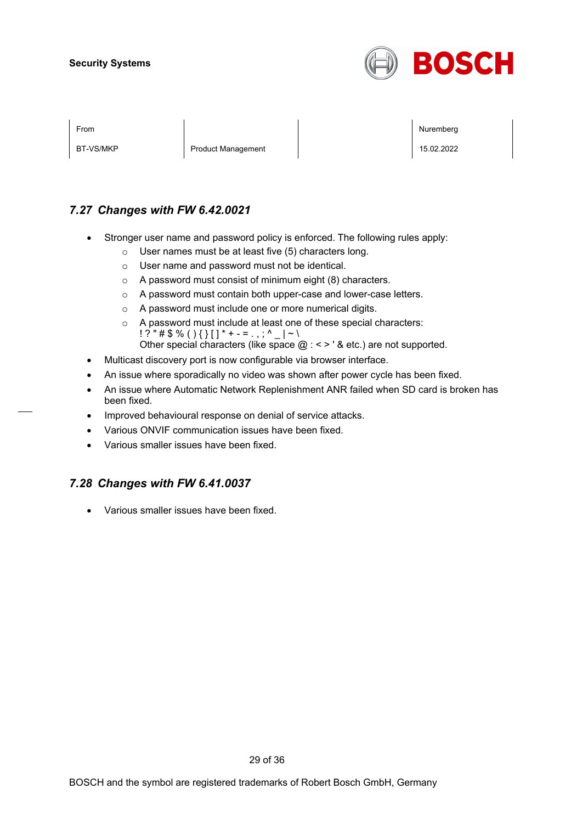

BT-VS/MKP Product Management 15.02.2022

From the second contract of the second contract of the second contract of the second contract of the second contract of the second contract of the second contract of the second contract of the second contract of the second

## *7.27 Changes with FW 6.42.0021*

- Stronger user name and password policy is enforced. The following rules apply:
	- o User names must be at least five (5) characters long.
	- o User name and password must not be identical.
	- o A password must consist of minimum eight (8) characters.
	- o A password must contain both upper-case and lower-case letters.
	- o A password must include one or more numerical digits.
	- o A password must include at least one of these special characters:  $! ? " \# \$ \% () \{ \} [ ] * + - = . , ; ^ {\wedge} _ - | ~ \wedge \}$ Other special characters (like space  $@:$  < > ' & etc.) are not supported.
- Multicast discovery port is now configurable via browser interface.
- An issue where sporadically no video was shown after power cycle has been fixed.
- An issue where Automatic Network Replenishment ANR failed when SD card is broken has been fixed.
- Improved behavioural response on denial of service attacks.
- Various ONVIF communication issues have been fixed.
- Various smaller issues have been fixed.

## *7.28 Changes with FW 6.41.0037*

• Various smaller issues have been fixed.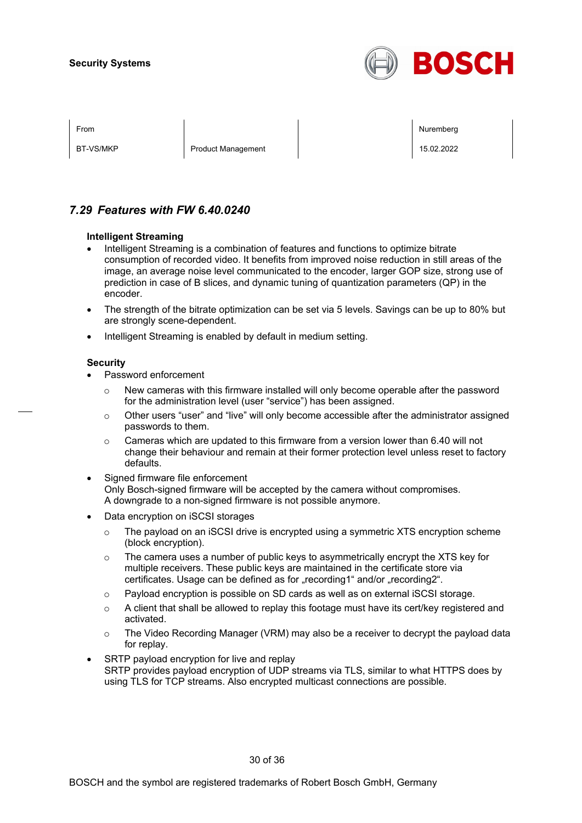

BT-VS/MKP Product Management 2008 Product Management 15.02.2022

From the second contract of the second contract of the second contract of the second contract of the second contract of the second contract of the second contract of the second contract of the second contract of the second

## *7.29 Features with FW 6.40.0240*

#### **Intelligent Streaming**

- Intelligent Streaming is a combination of features and functions to optimize bitrate consumption of recorded video. It benefits from improved noise reduction in still areas of the image, an average noise level communicated to the encoder, larger GOP size, strong use of prediction in case of B slices, and dynamic tuning of quantization parameters (QP) in the encoder.
- The strength of the bitrate optimization can be set via 5 levels. Savings can be up to 80% but are strongly scene-dependent.
- Intelligent Streaming is enabled by default in medium setting.

#### **Security**

- Password enforcement
	- $\circ$  New cameras with this firmware installed will only become operable after the password for the administration level (user "service") has been assigned.
	- $\circ$  Other users "user" and "live" will only become accessible after the administrator assigned passwords to them.
	- $\circ$  Cameras which are updated to this firmware from a version lower than 6.40 will not change their behaviour and remain at their former protection level unless reset to factory defaults.
- Signed firmware file enforcement Only Bosch-signed firmware will be accepted by the camera without compromises. A downgrade to a non-signed firmware is not possible anymore.
- Data encryption on iSCSI storages
	- $\circ$  The payload on an iSCSI drive is encrypted using a symmetric XTS encryption scheme (block encryption).
	- $\circ$  The camera uses a number of public keys to asymmetrically encrypt the XTS key for multiple receivers. These public keys are maintained in the certificate store via certificates. Usage can be defined as for "recording1" and/or "recording2".
	- $\circ$  Payload encryption is possible on SD cards as well as on external iSCSI storage.
	- $\circ$  A client that shall be allowed to replay this footage must have its cert/key registered and activated.
	- $\circ$  The Video Recording Manager (VRM) may also be a receiver to decrypt the payload data for replay.
- SRTP payload encryption for live and replay SRTP provides payload encryption of UDP streams via TLS, similar to what HTTPS does by using TLS for TCP streams. Also encrypted multicast connections are possible.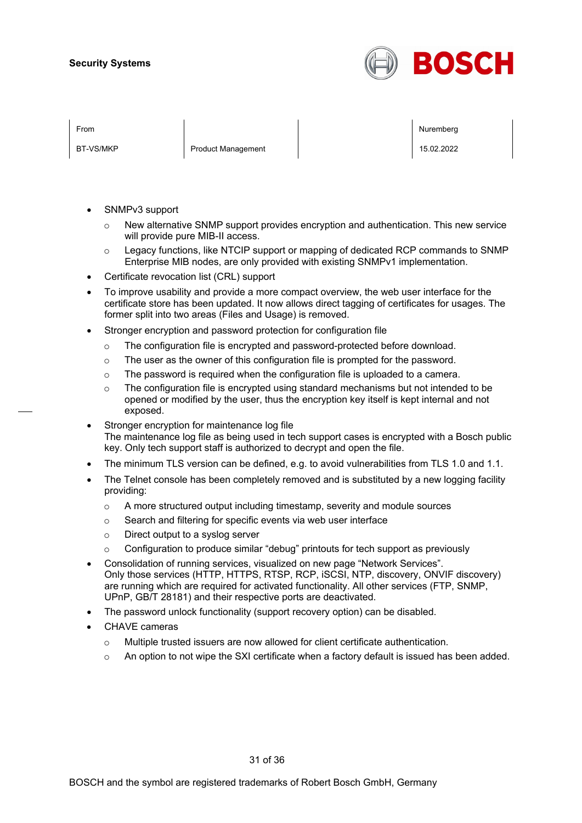

BT-VS/MKP Product Management 2008 Product Management 15.02.2022

From the second contract of the second contract of the second contract of the second contract of the second contract of the second contract of the second contract of the second contract of the second contract of the second

- SNMPv3 support
	- $\circ$  New alternative SNMP support provides encryption and authentication. This new service will provide pure MIB-II access.
	- $\circ$  Legacy functions, like NTCIP support or mapping of dedicated RCP commands to SNMP Enterprise MIB nodes, are only provided with existing SNMPv1 implementation.
- Certificate revocation list (CRL) support
- To improve usability and provide a more compact overview, the web user interface for the certificate store has been updated. It now allows direct tagging of certificates for usages. The former split into two areas (Files and Usage) is removed.
- Stronger encryption and password protection for configuration file
	- $\circ$  The configuration file is encrypted and password-protected before download.
	- $\circ$  The user as the owner of this configuration file is prompted for the password.
	- o The password is required when the configuration file is uploaded to a camera.
	- $\circ$  The configuration file is encrypted using standard mechanisms but not intended to be opened or modified by the user, thus the encryption key itself is kept internal and not exposed.
- Stronger encryption for maintenance log file The maintenance log file as being used in tech support cases is encrypted with a Bosch public key. Only tech support staff is authorized to decrypt and open the file.
- The minimum TLS version can be defined, e.g. to avoid vulnerabilities from TLS 1.0 and 1.1.
- The Telnet console has been completely removed and is substituted by a new logging facility providing:
	- o A more structured output including timestamp, severity and module sources
	- o Search and filtering for specific events via web user interface
	- o Direct output to a syslog server
	- $\circ$  Configuration to produce similar "debug" printouts for tech support as previously
- Consolidation of running services, visualized on new page "Network Services". Only those services (HTTP, HTTPS, RTSP, RCP, iSCSI, NTP, discovery, ONVIF discovery) are running which are required for activated functionality. All other services (FTP, SNMP, UPnP, GB/T 28181) and their respective ports are deactivated.
- The password unlock functionality (support recovery option) can be disabled.
- CHAVE cameras
	- $\circ$  Multiple trusted issuers are now allowed for client certificate authentication.
	- $\circ$  An option to not wipe the SXI certificate when a factory default is issued has been added.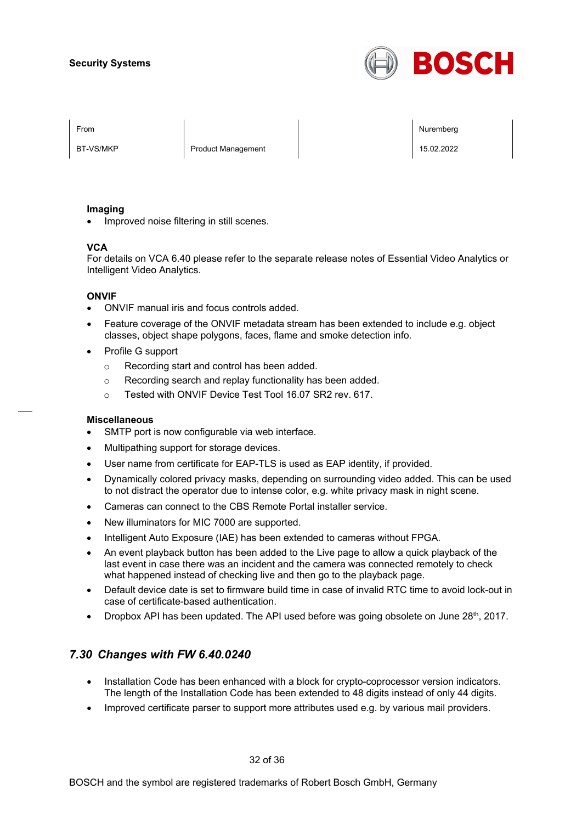

BT-VS/MKP Product Management 2008 Product Management 15.02.2022

From the second contract of the second contract of the second contract of the second contract of the second contract of the second contract of the second contract of the second contract of the second contract of the second

#### **Imaging**

• Improved noise filtering in still scenes.

#### **VCA**

For details on VCA 6.40 please refer to the separate release notes of Essential Video Analytics or Intelligent Video Analytics.

#### **ONVIF**

- ONVIF manual iris and focus controls added.
- Feature coverage of the ONVIF metadata stream has been extended to include e.g. object classes, object shape polygons, faces, flame and smoke detection info.
- Profile G support
	- o Recording start and control has been added.
	- o Recording search and replay functionality has been added.
	- o Tested with ONVIF Device Test Tool 16.07 SR2 rev. 617.

#### **Miscellaneous**

- SMTP port is now configurable via web interface.
- Multipathing support for storage devices.
- User name from certificate for EAP-TLS is used as EAP identity, if provided.
- Dynamically colored privacy masks, depending on surrounding video added. This can be used to not distract the operator due to intense color, e.g. white privacy mask in night scene.
- Cameras can connect to the CBS Remote Portal installer service.
- New illuminators for MIC 7000 are supported.
- Intelligent Auto Exposure (IAE) has been extended to cameras without FPGA.
- An event playback button has been added to the Live page to allow a quick playback of the last event in case there was an incident and the camera was connected remotely to check what happened instead of checking live and then go to the playback page.
- Default device date is set to firmware build time in case of invalid RTC time to avoid lock-out in case of certificate-based authentication.
- Dropbox API has been updated. The API used before was going obsolete on June  $28<sup>th</sup>$ , 2017.

## *7.30 Changes with FW 6.40.0240*

- Installation Code has been enhanced with a block for crypto-coprocessor version indicators. The length of the Installation Code has been extended to 48 digits instead of only 44 digits.
- Improved certificate parser to support more attributes used e.g. by various mail providers.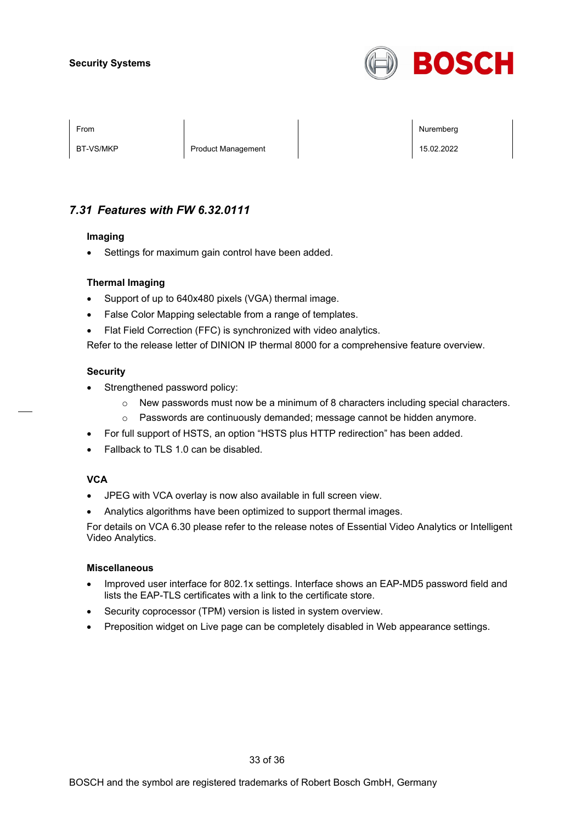

BT-VS/MKP Product Management 2008 Product Management 15.02.2022

From the second contract of the second contract of the second contract of the second contract of the second contract of the second contract of the second contract of the second contract of the second contract of the second

## *7.31 Features with FW 6.32.0111*

#### **Imaging**

• Settings for maximum gain control have been added.

### **Thermal Imaging**

- Support of up to 640x480 pixels (VGA) thermal image.
- False Color Mapping selectable from a range of templates.
- Flat Field Correction (FFC) is synchronized with video analytics.

Refer to the release letter of DINION IP thermal 8000 for a comprehensive feature overview.

#### **Security**

- Strengthened password policy:
	- $\circ$  New passwords must now be a minimum of 8 characters including special characters.
	- o Passwords are continuously demanded; message cannot be hidden anymore.
- For full support of HSTS, an option "HSTS plus HTTP redirection" has been added.
- Fallback to TLS 1.0 can be disabled.

#### **VCA**

- JPEG with VCA overlay is now also available in full screen view.
- Analytics algorithms have been optimized to support thermal images.

For details on VCA 6.30 please refer to the release notes of Essential Video Analytics or Intelligent Video Analytics.

#### **Miscellaneous**

- Improved user interface for 802.1x settings. Interface shows an EAP-MD5 password field and lists the EAP-TLS certificates with a link to the certificate store.
- Security coprocessor (TPM) version is listed in system overview.
- Preposition widget on Live page can be completely disabled in Web appearance settings.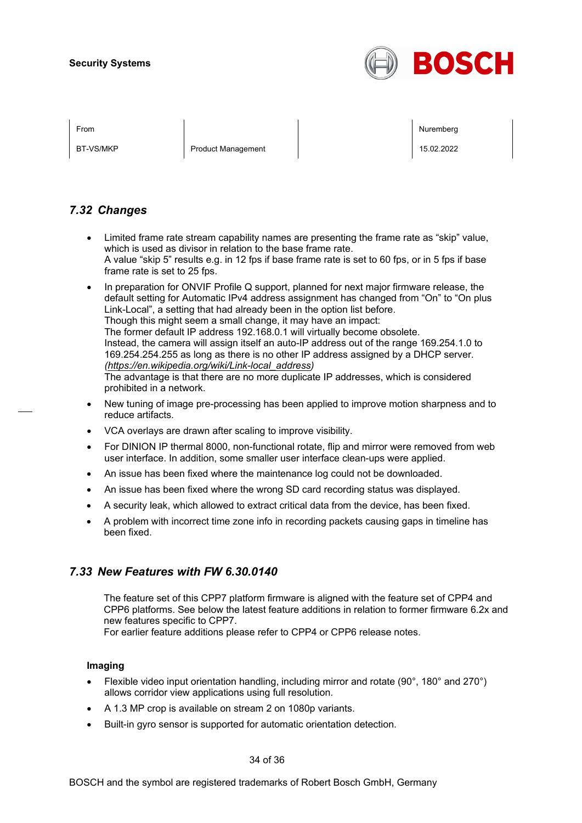

BT-VS/MKP Product Management 2008 Product Management 15.02.2022

From the second contract of the second contract of the second contract of the second contract of the second contract of the second contract of the second contract of the second contract of the second contract of the second

## *7.32 Changes*

- Limited frame rate stream capability names are presenting the frame rate as "skip" value, which is used as divisor in relation to the base frame rate. A value "skip 5" results e.g. in 12 fps if base frame rate is set to 60 fps, or in 5 fps if base frame rate is set to 25 fps.
- In preparation for ONVIF Profile Q support, planned for next major firmware release, the default setting for Automatic IPv4 address assignment has changed from "On" to "On plus Link-Local", a setting that had already been in the option list before. Though this might seem a small change, it may have an impact: The former default IP address 192.168.0.1 will virtually become obsolete. Instead, the camera will assign itself an auto-IP address out of the range 169.254.1.0 to

169.254.254.255 as long as there is no other IP address assigned by a DHCP server. *[\(https://en.wikipedia.org/wiki/Link-local\\_address\)](https://en.wikipedia.org/wiki/Link-local_address)*

The advantage is that there are no more duplicate IP addresses, which is considered prohibited in a network.

- New tuning of image pre-processing has been applied to improve motion sharpness and to reduce artifacts.
- VCA overlays are drawn after scaling to improve visibility.
- For DINION IP thermal 8000, non-functional rotate, flip and mirror were removed from web user interface. In addition, some smaller user interface clean-ups were applied.
- An issue has been fixed where the maintenance log could not be downloaded.
- An issue has been fixed where the wrong SD card recording status was displayed.
- A security leak, which allowed to extract critical data from the device, has been fixed.
- A problem with incorrect time zone info in recording packets causing gaps in timeline has been fixed.

## *7.33 New Features with FW 6.30.0140*

The feature set of this CPP7 platform firmware is aligned with the feature set of CPP4 and CPP6 platforms. See below the latest feature additions in relation to former firmware 6.2x and new features specific to CPP7.

For earlier feature additions please refer to CPP4 or CPP6 release notes.

#### **Imaging**

- Flexible video input orientation handling, including mirror and rotate (90°, 180° and 270°) allows corridor view applications using full resolution.
- A 1.3 MP crop is available on stream 2 on 1080p variants.
- Built-in gyro sensor is supported for automatic orientation detection.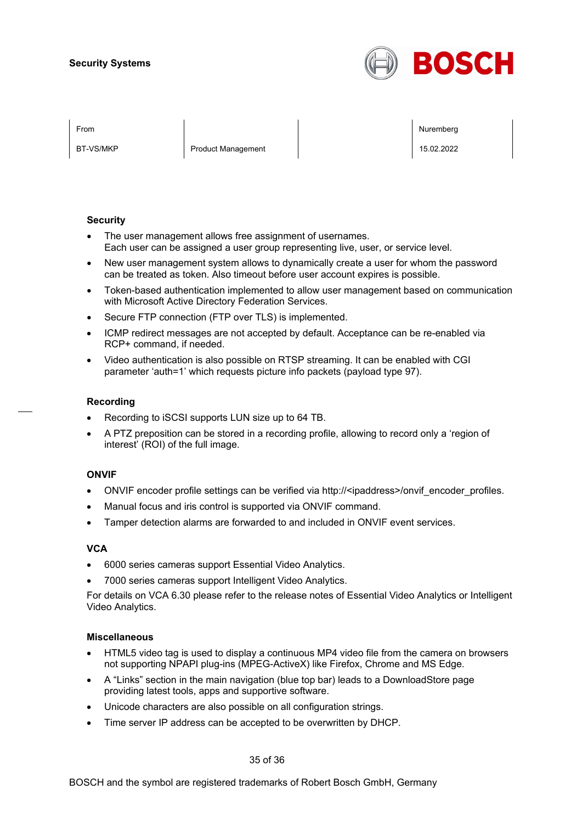

BT-VS/MKP Product Management 15.02.2022

From the second contract of the second contract of the second contract of the second contract of the second contract of the second contract of the second contract of the second contract of the second contract of the second

#### **Security**

- The user management allows free assignment of usernames. Each user can be assigned a user group representing live, user, or service level.
- New user management system allows to dynamically create a user for whom the password can be treated as token. Also timeout before user account expires is possible.
- Token-based authentication implemented to allow user management based on communication with Microsoft Active Directory Federation Services.
- Secure FTP connection (FTP over TLS) is implemented.
- ICMP redirect messages are not accepted by default. Acceptance can be re-enabled via RCP+ command, if needed.
- Video authentication is also possible on RTSP streaming. It can be enabled with CGI parameter 'auth=1' which requests picture info packets (payload type 97).

#### **Recording**

- Recording to iSCSI supports LUN size up to 64 TB.
- A PTZ preposition can be stored in a recording profile, allowing to record only a 'region of interest' (ROI) of the full image.

#### **ONVIF**

- ONVIF encoder profile settings can be verified via http://<ipaddress>/onvif\_encoder\_profiles.
- Manual focus and iris control is supported via ONVIF command.
- Tamper detection alarms are forwarded to and included in ONVIF event services.

#### **VCA**

- 6000 series cameras support Essential Video Analytics.
- 7000 series cameras support Intelligent Video Analytics.

For details on VCA 6.30 please refer to the release notes of Essential Video Analytics or Intelligent Video Analytics.

#### **Miscellaneous**

- HTML5 video tag is used to display a continuous MP4 video file from the camera on browsers not supporting NPAPI plug-ins (MPEG-ActiveX) like Firefox, Chrome and MS Edge.
- A "Links" section in the main navigation (blue top bar) leads to a DownloadStore page providing latest tools, apps and supportive software.
- Unicode characters are also possible on all configuration strings.
- Time server IP address can be accepted to be overwritten by DHCP.